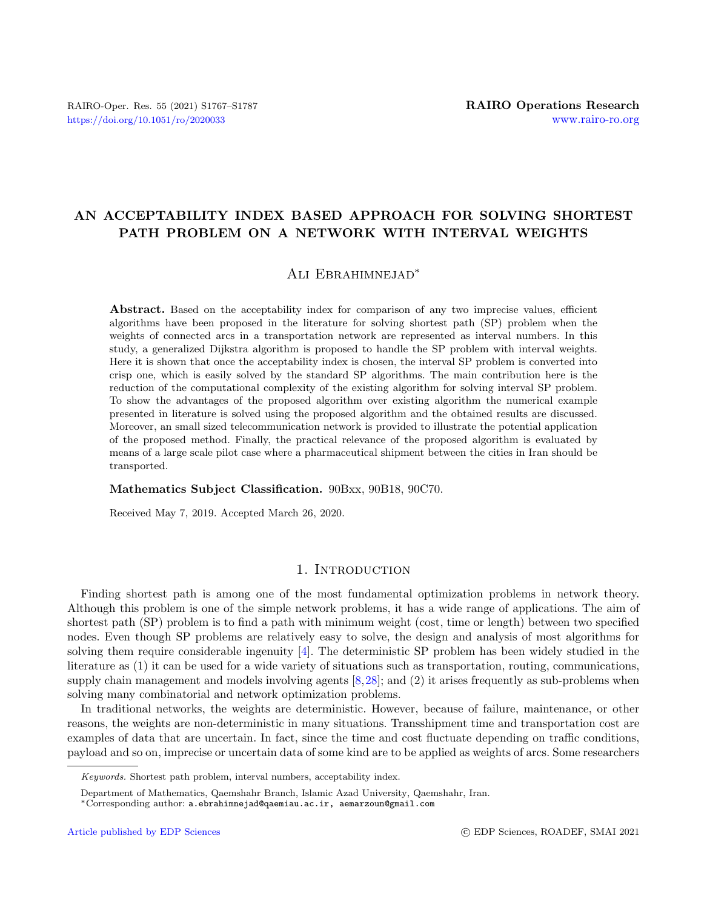# AN ACCEPTABILITY INDEX BASED APPROACH FOR SOLVING SHORTEST PATH PROBLEM ON A NETWORK WITH INTERVAL WEIGHTS

# Ali Ebrahimnejad<sup>∗</sup>

Abstract. Based on the acceptability index for comparison of any two imprecise values, efficient algorithms have been proposed in the literature for solving shortest path (SP) problem when the weights of connected arcs in a transportation network are represented as interval numbers. In this study, a generalized Dijkstra algorithm is proposed to handle the SP problem with interval weights. Here it is shown that once the acceptability index is chosen, the interval SP problem is converted into crisp one, which is easily solved by the standard SP algorithms. The main contribution here is the reduction of the computational complexity of the existing algorithm for solving interval SP problem. To show the advantages of the proposed algorithm over existing algorithm the numerical example presented in literature is solved using the proposed algorithm and the obtained results are discussed. Moreover, an small sized telecommunication network is provided to illustrate the potential application of the proposed method. Finally, the practical relevance of the proposed algorithm is evaluated by means of a large scale pilot case where a pharmaceutical shipment between the cities in Iran should be transported.

#### Mathematics Subject Classification. 90Bxx, 90B18, 90C70.

Received May 7, 2019. Accepted March 26, 2020.

# 1. INTRODUCTION

Finding shortest path is among one of the most fundamental optimization problems in network theory. Although this problem is one of the simple network problems, it has a wide range of applications. The aim of shortest path (SP) problem is to find a path with minimum weight (cost, time or length) between two specified nodes. Even though SP problems are relatively easy to solve, the design and analysis of most algorithms for solving them require considerable ingenuity [\[4\]](#page-18-0). The deterministic SP problem has been widely studied in the literature as (1) it can be used for a wide variety of situations such as transportation, routing, communications, supply chain management and models involving agents [\[8,](#page-18-1)[28\]](#page-19-0); and (2) it arises frequently as sub-problems when solving many combinatorial and network optimization problems.

In traditional networks, the weights are deterministic. However, because of failure, maintenance, or other reasons, the weights are non-deterministic in many situations. Transshipment time and transportation cost are examples of data that are uncertain. In fact, since the time and cost fluctuate depending on traffic conditions, payload and so on, imprecise or uncertain data of some kind are to be applied as weights of arcs. Some researchers

Keywords. Shortest path problem, interval numbers, acceptability index.

Department of Mathematics, Qaemshahr Branch, Islamic Azad University, Qaemshahr, Iran.

<sup>∗</sup>Corresponding author: [a.ebrahimnejad@qaemiau.ac.ir, aemarzoun@gmail.com](mailto:a.ebrahimnejad@qaemiau.ac.ir, aemarzoun@gmail.com)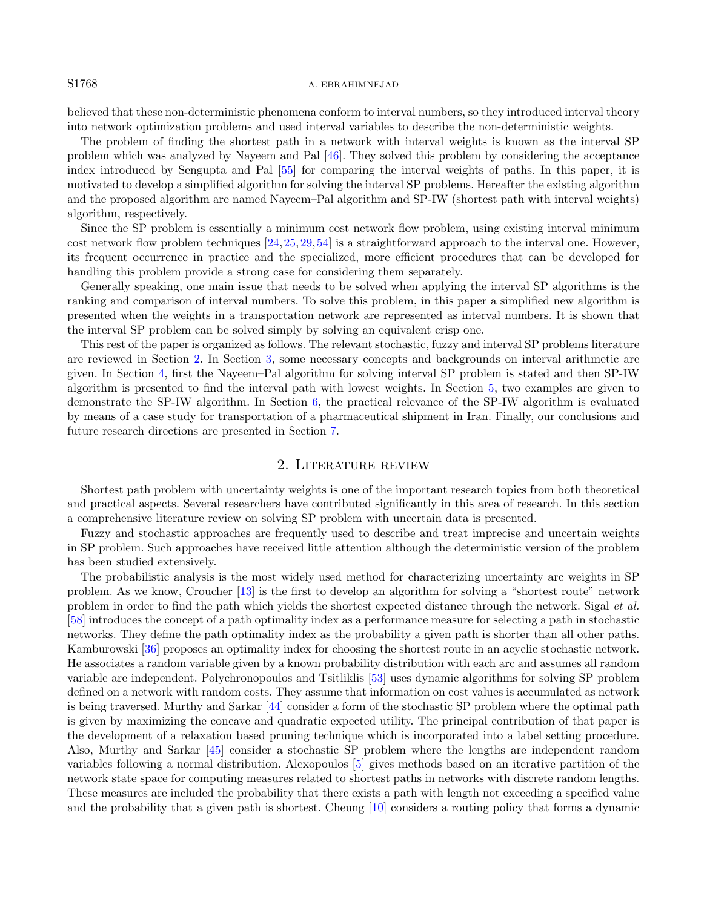#### S1768 A. EBRAHIMNEJAD

believed that these non-deterministic phenomena conform to interval numbers, so they introduced interval theory into network optimization problems and used interval variables to describe the non-deterministic weights.

The problem of finding the shortest path in a network with interval weights is known as the interval SP problem which was analyzed by Nayeem and Pal [\[46\]](#page-19-1). They solved this problem by considering the acceptance index introduced by Sengupta and Pal [\[55\]](#page-20-0) for comparing the interval weights of paths. In this paper, it is motivated to develop a simplified algorithm for solving the interval SP problems. Hereafter the existing algorithm and the proposed algorithm are named Nayeem–Pal algorithm and SP-IW (shortest path with interval weights) algorithm, respectively.

Since the SP problem is essentially a minimum cost network flow problem, using existing interval minimum cost network flow problem techniques [\[24,](#page-19-2)[25,](#page-19-3)[29,](#page-19-4)[54\]](#page-20-1) is a straightforward approach to the interval one. However, its frequent occurrence in practice and the specialized, more efficient procedures that can be developed for handling this problem provide a strong case for considering them separately.

Generally speaking, one main issue that needs to be solved when applying the interval SP algorithms is the ranking and comparison of interval numbers. To solve this problem, in this paper a simplified new algorithm is presented when the weights in a transportation network are represented as interval numbers. It is shown that the interval SP problem can be solved simply by solving an equivalent crisp one.

This rest of the paper is organized as follows. The relevant stochastic, fuzzy and interval SP problems literature are reviewed in Section [2.](#page-1-0) In Section [3,](#page-3-0) some necessary concepts and backgrounds on interval arithmetic are given. In Section [4,](#page-5-0) first the Nayeem–Pal algorithm for solving interval SP problem is stated and then SP-IW algorithm is presented to find the interval path with lowest weights. In Section [5,](#page-9-0) two examples are given to demonstrate the SP-IW algorithm. In Section [6,](#page-15-0) the practical relevance of the SP-IW algorithm is evaluated by means of a case study for transportation of a pharmaceutical shipment in Iran. Finally, our conclusions and future research directions are presented in Section [7.](#page-16-0)

#### 2. Literature review

<span id="page-1-0"></span>Shortest path problem with uncertainty weights is one of the important research topics from both theoretical and practical aspects. Several researchers have contributed significantly in this area of research. In this section a comprehensive literature review on solving SP problem with uncertain data is presented.

Fuzzy and stochastic approaches are frequently used to describe and treat imprecise and uncertain weights in SP problem. Such approaches have received little attention although the deterministic version of the problem has been studied extensively.

The probabilistic analysis is the most widely used method for characterizing uncertainty arc weights in SP problem. As we know, Croucher [\[13\]](#page-18-2) is the first to develop an algorithm for solving a "shortest route" network problem in order to find the path which yields the shortest expected distance through the network. Sigal et al. [\[58\]](#page-20-2) introduces the concept of a path optimality index as a performance measure for selecting a path in stochastic networks. They define the path optimality index as the probability a given path is shorter than all other paths. Kamburowski [\[36\]](#page-19-5) proposes an optimality index for choosing the shortest route in an acyclic stochastic network. He associates a random variable given by a known probability distribution with each arc and assumes all random variable are independent. Polychronopoulos and Tsitliklis [\[53\]](#page-20-3) uses dynamic algorithms for solving SP problem defined on a network with random costs. They assume that information on cost values is accumulated as network is being traversed. Murthy and Sarkar [\[44\]](#page-19-6) consider a form of the stochastic SP problem where the optimal path is given by maximizing the concave and quadratic expected utility. The principal contribution of that paper is the development of a relaxation based pruning technique which is incorporated into a label setting procedure. Also, Murthy and Sarkar [\[45\]](#page-19-7) consider a stochastic SP problem where the lengths are independent random variables following a normal distribution. Alexopoulos [\[5\]](#page-18-3) gives methods based on an iterative partition of the network state space for computing measures related to shortest paths in networks with discrete random lengths. These measures are included the probability that there exists a path with length not exceeding a specified value and the probability that a given path is shortest. Cheung [\[10\]](#page-18-4) considers a routing policy that forms a dynamic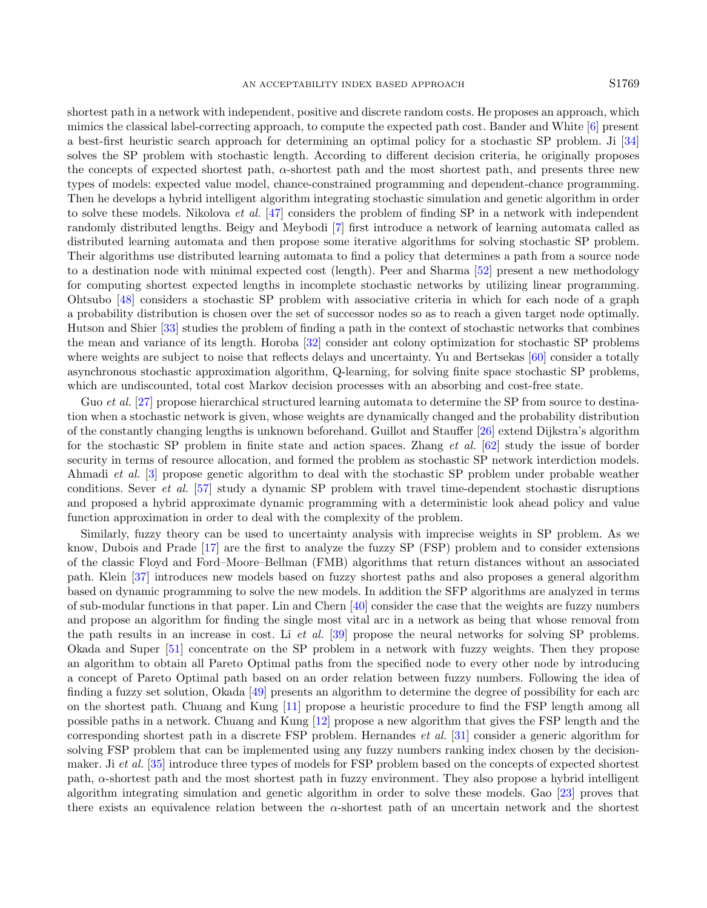shortest path in a network with independent, positive and discrete random costs. He proposes an approach, which mimics the classical label-correcting approach, to compute the expected path cost. Bander and White [\[6\]](#page-18-5) present a best-first heuristic search approach for determining an optimal policy for a stochastic SP problem. Ji [\[34\]](#page-19-8) solves the SP problem with stochastic length. According to different decision criteria, he originally proposes the concepts of expected shortest path,  $\alpha$ -shortest path and the most shortest path, and presents three new types of models: expected value model, chance-constrained programming and dependent-chance programming. Then he develops a hybrid intelligent algorithm integrating stochastic simulation and genetic algorithm in order to solve these models. Nikolova et al. [\[47\]](#page-19-9) considers the problem of finding SP in a network with independent randomly distributed lengths. Beigy and Meybodi [\[7\]](#page-18-6) first introduce a network of learning automata called as distributed learning automata and then propose some iterative algorithms for solving stochastic SP problem. Their algorithms use distributed learning automata to find a policy that determines a path from a source node to a destination node with minimal expected cost (length). Peer and Sharma [\[52\]](#page-20-4) present a new methodology for computing shortest expected lengths in incomplete stochastic networks by utilizing linear programming. Ohtsubo [\[48\]](#page-19-10) considers a stochastic SP problem with associative criteria in which for each node of a graph a probability distribution is chosen over the set of successor nodes so as to reach a given target node optimally. Hutson and Shier [\[33\]](#page-19-11) studies the problem of finding a path in the context of stochastic networks that combines the mean and variance of its length. Horoba [\[32\]](#page-19-12) consider ant colony optimization for stochastic SP problems where weights are subject to noise that reflects delays and uncertainty. Yu and Bertsekas [\[60\]](#page-20-5) consider a totally asynchronous stochastic approximation algorithm, Q-learning, for solving finite space stochastic SP problems, which are undiscounted, total cost Markov decision processes with an absorbing and cost-free state.

Guo et al. [\[27\]](#page-19-13) propose hierarchical structured learning automata to determine the SP from source to destination when a stochastic network is given, whose weights are dynamically changed and the probability distribution of the constantly changing lengths is unknown beforehand. Guillot and Stauffer [\[26\]](#page-19-14) extend Dijkstra's algorithm for the stochastic SP problem in finite state and action spaces. Zhang et al. [\[62\]](#page-20-6) study the issue of border security in terms of resource allocation, and formed the problem as stochastic SP network interdiction models. Ahmadi et al. [\[3\]](#page-18-7) propose genetic algorithm to deal with the stochastic SP problem under probable weather conditions. Sever et al. [\[57\]](#page-20-7) study a dynamic SP problem with travel time-dependent stochastic disruptions and proposed a hybrid approximate dynamic programming with a deterministic look ahead policy and value function approximation in order to deal with the complexity of the problem.

Similarly, fuzzy theory can be used to uncertainty analysis with imprecise weights in SP problem. As we know, Dubois and Prade [\[17\]](#page-18-8) are the first to analyze the fuzzy SP (FSP) problem and to consider extensions of the classic Floyd and Ford–Moore–Bellman (FMB) algorithms that return distances without an associated path. Klein [\[37\]](#page-19-15) introduces new models based on fuzzy shortest paths and also proposes a general algorithm based on dynamic programming to solve the new models. In addition the SFP algorithms are analyzed in terms of sub-modular functions in that paper. Lin and Chern [\[40\]](#page-19-16) consider the case that the weights are fuzzy numbers and propose an algorithm for finding the single most vital arc in a network as being that whose removal from the path results in an increase in cost. Li et al. [\[39\]](#page-19-17) propose the neural networks for solving SP problems. Okada and Super [\[51\]](#page-19-18) concentrate on the SP problem in a network with fuzzy weights. Then they propose an algorithm to obtain all Pareto Optimal paths from the specified node to every other node by introducing a concept of Pareto Optimal path based on an order relation between fuzzy numbers. Following the idea of finding a fuzzy set solution, Okada [\[49\]](#page-19-19) presents an algorithm to determine the degree of possibility for each arc on the shortest path. Chuang and Kung [\[11\]](#page-18-9) propose a heuristic procedure to find the FSP length among all possible paths in a network. Chuang and Kung [\[12\]](#page-18-10) propose a new algorithm that gives the FSP length and the corresponding shortest path in a discrete FSP problem. Hernandes et al. [\[31\]](#page-19-20) consider a generic algorithm for solving FSP problem that can be implemented using any fuzzy numbers ranking index chosen by the decision-maker. Ji et al. [\[35\]](#page-19-21) introduce three types of models for FSP problem based on the concepts of expected shortest path, α-shortest path and the most shortest path in fuzzy environment. They also propose a hybrid intelligent algorithm integrating simulation and genetic algorithm in order to solve these models. Gao [\[23\]](#page-19-22) proves that there exists an equivalence relation between the  $\alpha$ -shortest path of an uncertain network and the shortest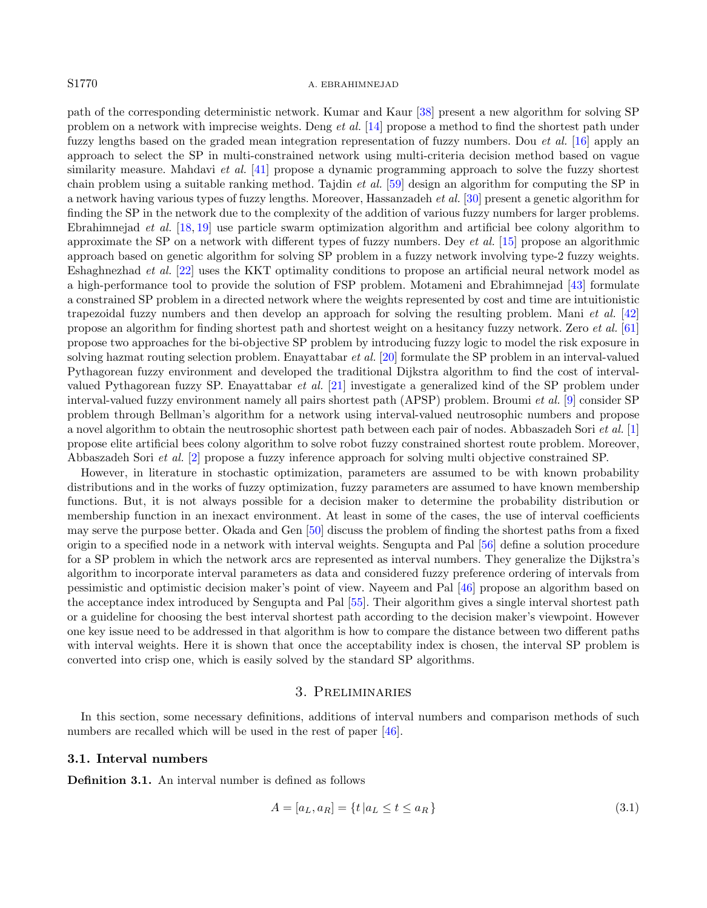#### S1770 A. EBRAHIMNEJAD

path of the corresponding deterministic network. Kumar and Kaur [\[38\]](#page-19-23) present a new algorithm for solving SP problem on a network with imprecise weights. Deng et al. [\[14\]](#page-18-11) propose a method to find the shortest path under fuzzy lengths based on the graded mean integration representation of fuzzy numbers. Dou et al. [\[16\]](#page-18-12) apply an approach to select the SP in multi-constrained network using multi-criteria decision method based on vague similarity measure. Mahdavi *et al.* [\[41\]](#page-19-24) propose a dynamic programming approach to solve the fuzzy shortest chain problem using a suitable ranking method. Tajdin et al. [\[59\]](#page-20-8) design an algorithm for computing the SP in a network having various types of fuzzy lengths. Moreover, Hassanzadeh et al. [\[30\]](#page-19-25) present a genetic algorithm for finding the SP in the network due to the complexity of the addition of various fuzzy numbers for larger problems. Ebrahimnejad et al. [\[18,](#page-19-26) [19\]](#page-19-27) use particle swarm optimization algorithm and artificial bee colony algorithm to approximate the SP on a network with different types of fuzzy numbers. Dey et al. [\[15\]](#page-18-13) propose an algorithmic approach based on genetic algorithm for solving SP problem in a fuzzy network involving type-2 fuzzy weights. Eshaghnezhad et al. [\[22\]](#page-19-28) uses the KKT optimality conditions to propose an artificial neural network model as a high-performance tool to provide the solution of FSP problem. Motameni and Ebrahimnejad [\[43\]](#page-19-29) formulate a constrained SP problem in a directed network where the weights represented by cost and time are intuitionistic trapezoidal fuzzy numbers and then develop an approach for solving the resulting problem. Mani *et al.* [\[42\]](#page-19-30) propose an algorithm for finding shortest path and shortest weight on a hesitancy fuzzy network. Zero et al. [\[61\]](#page-20-9) propose two approaches for the bi-objective SP problem by introducing fuzzy logic to model the risk exposure in solving hazmat routing selection problem. Enayattabar et al.  $[20]$  formulate the SP problem in an interval-valued Pythagorean fuzzy environment and developed the traditional Dijkstra algorithm to find the cost of intervalvalued Pythagorean fuzzy SP. Enayattabar et al. [\[21\]](#page-19-32) investigate a generalized kind of the SP problem under interval-valued fuzzy environment namely all pairs shortest path (APSP) problem. Broumi et al. [\[9\]](#page-18-14) consider SP problem through Bellman's algorithm for a network using interval-valued neutrosophic numbers and propose a novel algorithm to obtain the neutrosophic shortest path between each pair of nodes. Abbaszadeh Sori et al. [\[1\]](#page-18-15) propose elite artificial bees colony algorithm to solve robot fuzzy constrained shortest route problem. Moreover, Abbaszadeh Sori et al. [\[2\]](#page-18-16) propose a fuzzy inference approach for solving multi objective constrained SP.

However, in literature in stochastic optimization, parameters are assumed to be with known probability distributions and in the works of fuzzy optimization, fuzzy parameters are assumed to have known membership functions. But, it is not always possible for a decision maker to determine the probability distribution or membership function in an inexact environment. At least in some of the cases, the use of interval coefficients may serve the purpose better. Okada and Gen [\[50\]](#page-19-33) discuss the problem of finding the shortest paths from a fixed origin to a specified node in a network with interval weights. Sengupta and Pal [\[56\]](#page-20-10) define a solution procedure for a SP problem in which the network arcs are represented as interval numbers. They generalize the Dijkstra's algorithm to incorporate interval parameters as data and considered fuzzy preference ordering of intervals from pessimistic and optimistic decision maker's point of view. Nayeem and Pal [\[46\]](#page-19-1) propose an algorithm based on the acceptance index introduced by Sengupta and Pal [\[55\]](#page-20-0). Their algorithm gives a single interval shortest path or a guideline for choosing the best interval shortest path according to the decision maker's viewpoint. However one key issue need to be addressed in that algorithm is how to compare the distance between two different paths with interval weights. Here it is shown that once the acceptability index is chosen, the interval SP problem is converted into crisp one, which is easily solved by the standard SP algorithms.

# 3. Preliminaries

<span id="page-3-0"></span>In this section, some necessary definitions, additions of interval numbers and comparison methods of such numbers are recalled which will be used in the rest of paper [\[46\]](#page-19-1).

### 3.1. Interval numbers

Definition 3.1. An interval number is defined as follows

$$
A = [a_L, a_R] = \{t \mid a_L \le t \le a_R\}
$$
\n(3.1)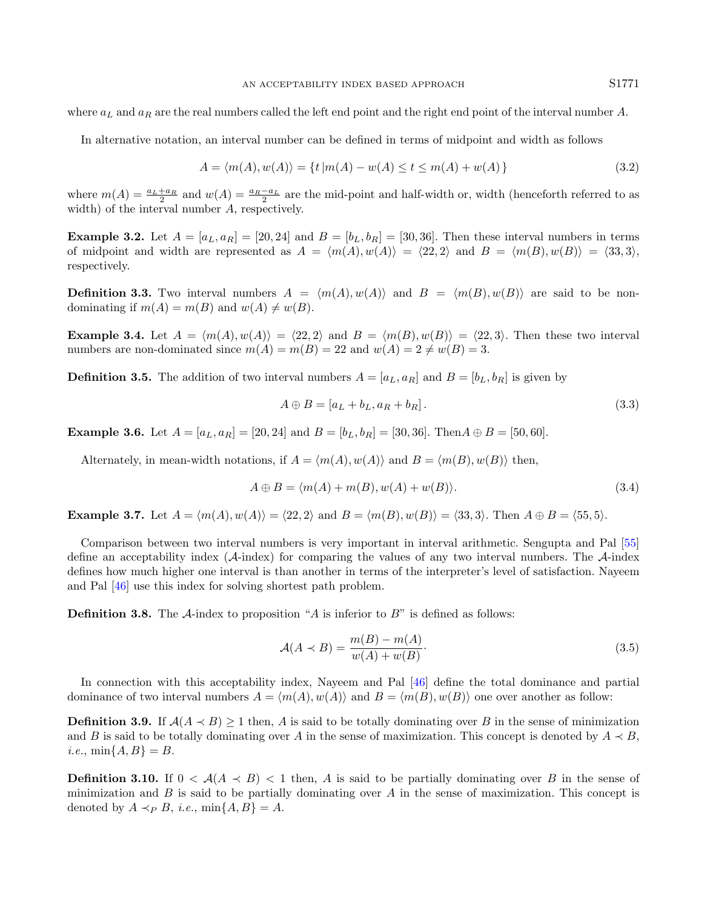where  $a_L$  and  $a_R$  are the real numbers called the left end point and the right end point of the interval number A.

In alternative notation, an interval number can be defined in terms of midpoint and width as follows

$$
A = \langle m(A), w(A) \rangle = \{ t | m(A) - w(A) \le t \le m(A) + w(A) \}
$$
\n(3.2)

where  $m(A) = \frac{a_L + a_R}{2}$  and  $w(A) = \frac{a_R - a_L}{2}$  are the mid-point and half-width or, width (henceforth referred to as width) of the interval number A, respectively.

**Example 3.2.** Let  $A = [a_L, a_R] = [20, 24]$  and  $B = [b_L, b_R] = [30, 36]$ . Then these interval numbers in terms of midpoint and width are represented as  $A = \langle m(A), w(A) \rangle = \langle 22, 2 \rangle$  and  $B = \langle m(B), w(B) \rangle = \langle 33, 3 \rangle$ , respectively.

**Definition 3.3.** Two interval numbers  $A = \langle m(A), w(A) \rangle$  and  $B = \langle m(B), w(B) \rangle$  are said to be nondominating if  $m(A) = m(B)$  and  $w(A) \neq w(B)$ .

**Example 3.4.** Let  $A = \langle m(A), w(A) \rangle = \langle 22, 2 \rangle$  and  $B = \langle m(B), w(B) \rangle = \langle 22, 3 \rangle$ . Then these two interval numbers are non-dominated since  $m(A) = m(B) = 22$  and  $w(A) = 2 \neq w(B) = 3$ .

**Definition 3.5.** The addition of two interval numbers  $A = [a_L, a_R]$  and  $B = [b_L, b_R]$  is given by

<span id="page-4-2"></span>
$$
A \oplus B = [a_L + b_L, a_R + b_R]. \tag{3.3}
$$

**Example 3.6.** Let  $A = [a_L, a_R] = [20, 24]$  and  $B = [b_L, b_R] = [30, 36]$ . Then  $A \oplus B = [50, 60]$ .

Alternately, in mean-width notations, if  $A = \langle m(A), w(A) \rangle$  and  $B = \langle m(B), w(B) \rangle$  then,

$$
A \oplus B = \langle m(A) + m(B), w(A) + w(B) \rangle.
$$
\n(3.4)

**Example 3.7.** Let  $A = \langle m(A), w(A) \rangle = \langle 22, 2 \rangle$  and  $B = \langle m(B), w(B) \rangle = \langle 33, 3 \rangle$ . Then  $A \oplus B = \langle 55, 5 \rangle$ .

Comparison between two interval numbers is very important in interval arithmetic. Sengupta and Pal [\[55\]](#page-20-0) define an acceptability index  $(A\text{-index})$  for comparing the values of any two interval numbers. The  $A\text{-index}$ defines how much higher one interval is than another in terms of the interpreter's level of satisfaction. Nayeem and Pal [\[46\]](#page-19-1) use this index for solving shortest path problem.

**Definition 3.8.** The  $\mathcal{A}$ -index to proposition "A is inferior to B" is defined as follows:

<span id="page-4-0"></span>
$$
\mathcal{A}(A \prec B) = \frac{m(B) - m(A)}{w(A) + w(B)}.\tag{3.5}
$$

In connection with this acceptability index, Nayeem and Pal [\[46\]](#page-19-1) define the total dominance and partial dominance of two interval numbers  $A = \langle m(A), w(A) \rangle$  and  $B = \langle m(B), w(B) \rangle$  one over another as follow:

**Definition 3.9.** If  $A(A \prec B) > 1$  then, A is said to be totally dominating over B in the sense of minimization and B is said to be totally dominating over A in the sense of maximization. This concept is denoted by  $A \prec B$ , *i.e.*,  $\min\{A, B\} = B$ .

<span id="page-4-1"></span>**Definition 3.10.** If  $0 < A(A \prec B) < 1$  then, A is said to be partially dominating over B in the sense of minimization and  $B$  is said to be partially dominating over  $A$  in the sense of maximization. This concept is denoted by  $A \prec_P B$ , *i.e.*, min $\{A, B\} = A$ .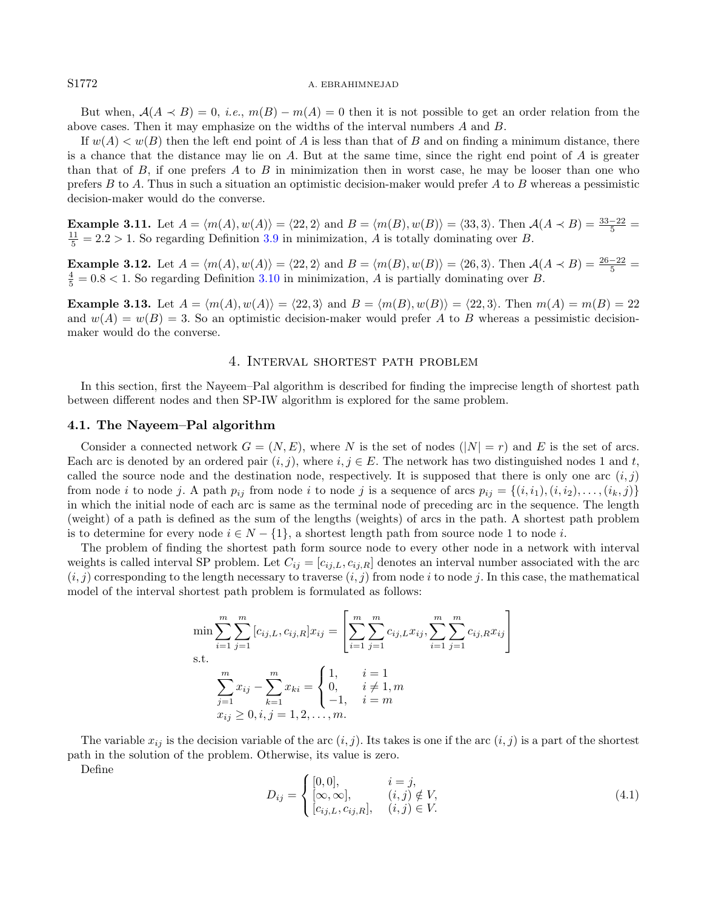#### S1772 A. EBRAHIMNEJAD

But when,  $A(A \prec B) = 0$ , i.e.,  $m(B) - m(A) = 0$  then it is not possible to get an order relation from the above cases. Then it may emphasize on the widths of the interval numbers A and B.

If  $w(A) < w(B)$  then the left end point of A is less than that of B and on finding a minimum distance, there is a chance that the distance may lie on  $A$ . But at the same time, since the right end point of  $A$  is greater than that of  $B$ , if one prefers  $A$  to  $B$  in minimization then in worst case, he may be looser than one who prefers  $B$  to  $A$ . Thus in such a situation an optimistic decision-maker would prefer  $A$  to  $B$  whereas a pessimistic decision-maker would do the converse.

**Example 3.11.** Let  $A = \langle m(A), w(A) \rangle = \langle 22, 2 \rangle$  and  $B = \langle m(B), w(B) \rangle = \langle 33, 3 \rangle$ . Then  $A(A \prec B) = \frac{33-22}{5}$  $\frac{11}{5}$  = 2.2 > 1. So regarding Definition [3.9](#page-4-0) in minimization, A is totally dominating over B.

**Example 3.12.** Let  $A = \langle m(A), w(A) \rangle = \langle 22, 2 \rangle$  and  $B = \langle m(B), w(B) \rangle = \langle 26, 3 \rangle$ . Then  $A(A \prec B) = \frac{26-22}{5}$  $\frac{4}{5} = 0.8 < 1$ . So regarding Definition [3.10](#page-4-1) in minimization, A is partially dominating over B.

**Example 3.13.** Let  $A = \langle m(A), w(A) \rangle = \langle 22, 3 \rangle$  and  $B = \langle m(B), w(B) \rangle = \langle 22, 3 \rangle$ . Then  $m(A) = m(B) = 22$ and  $w(A) = w(B) = 3$ . So an optimistic decision-maker would prefer A to B whereas a pessimistic decisionmaker would do the converse.

### 4. Interval shortest path problem

<span id="page-5-0"></span>In this section, first the Nayeem–Pal algorithm is described for finding the imprecise length of shortest path between different nodes and then SP-IW algorithm is explored for the same problem.

#### 4.1. The Nayeem–Pal algorithm

Consider a connected network  $G = (N, E)$ , where N is the set of nodes  $(|N| = r)$  and E is the set of arcs. Each arc is denoted by an ordered pair  $(i, j)$ , where  $i, j \in E$ . The network has two distinguished nodes 1 and t, called the source node and the destination node, respectively. It is supposed that there is only one arc  $(i, j)$ from node i to node j. A path  $p_{ij}$  from node i to node j is a sequence of arcs  $p_{ij} = \{(i, i_1), (i, i_2), \ldots, (i_k, j)\}$ in which the initial node of each arc is same as the terminal node of preceding arc in the sequence. The length (weight) of a path is defined as the sum of the lengths (weights) of arcs in the path. A shortest path problem is to determine for every node  $i \in N - \{1\}$ , a shortest length path from source node 1 to node i.

The problem of finding the shortest path form source node to every other node in a network with interval weights is called interval SP problem. Let  $C_{ij} = [c_{ij,L}, c_{ij,R}]$  denotes an interval number associated with the arc  $(i, j)$  corresponding to the length necessary to traverse  $(i, j)$  from node i to node j. In this case, the mathematical model of the interval shortest path problem is formulated as follows:

$$
\min \sum_{i=1}^{m} \sum_{j=1}^{m} [c_{ij,L}, c_{ij,R}] x_{ij} = \left[ \sum_{i=1}^{m} \sum_{j=1}^{m} c_{ij,L} x_{ij}, \sum_{i=1}^{m} \sum_{j=1}^{m} c_{ij,R} x_{ij} \right]
$$
  
s.t.  

$$
\sum_{j=1}^{m} x_{ij} - \sum_{k=1}^{m} x_{ki} = \begin{cases} 1, & i = 1 \\ 0, & i \neq 1, m \\ -1, & i = m \end{cases}
$$
  
 $x_{ij} \ge 0, i, j = 1, 2, ..., m.$ 

The variable  $x_{ij}$  is the decision variable of the arc  $(i, j)$ . Its takes is one if the arc  $(i, j)$  is a part of the shortest path in the solution of the problem. Otherwise, its value is zero.

Define

$$
D_{ij} = \begin{cases} [0,0], & i = j, \\ [\infty,\infty], & (i,j) \notin V, \\ [c_{ij,L},c_{ij,R}], & (i,j) \in V. \end{cases}
$$
(4.1)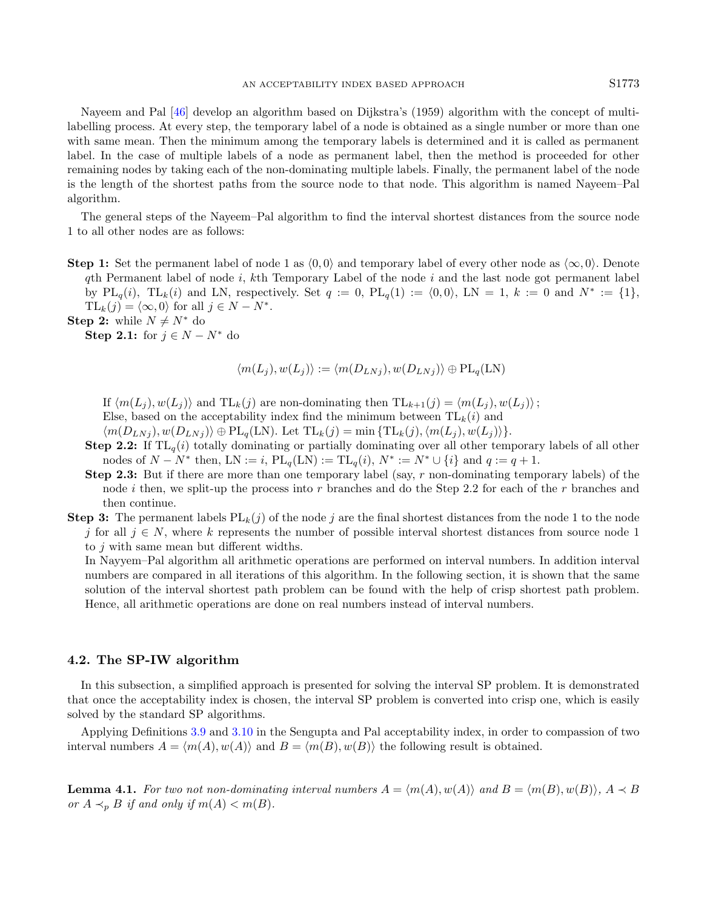Nayeem and Pal [\[46\]](#page-19-1) develop an algorithm based on Dijkstra's (1959) algorithm with the concept of multilabelling process. At every step, the temporary label of a node is obtained as a single number or more than one with same mean. Then the minimum among the temporary labels is determined and it is called as permanent label. In the case of multiple labels of a node as permanent label, then the method is proceeded for other remaining nodes by taking each of the non-dominating multiple labels. Finally, the permanent label of the node is the length of the shortest paths from the source node to that node. This algorithm is named Nayeem–Pal algorithm.

The general steps of the Nayeem–Pal algorithm to find the interval shortest distances from the source node 1 to all other nodes are as follows:

**Step 1:** Set the permanent label of node 1 as  $(0, 0)$  and temporary label of every other node as  $\langle \infty, 0 \rangle$ . Denote  $q$ th Permanent label of node i, kth Temporary Label of the node i and the last node got permanent label by  $PL_q(i)$ ,  $TL_k(i)$  and LN, respectively. Set  $q := 0$ ,  $PL_q(1) := \langle 0, 0 \rangle$ , LN = 1,  $k := 0$  and  $N^* := \{1\}$ ,  $TL_k(j) = \langle \infty, 0 \rangle$  for all  $j \in N - N^*$ .

Step 2: while  $N \neq N^*$  do

Step 2.1: for  $j \in N - N^*$  do

$$
\langle m(L_j), w(L_j) \rangle := \langle m(D_{LNj}), w(D_{LNj}) \rangle \oplus PL_q(LN)
$$

If  $\langle m(L_i), w(L_j) \rangle$  and  $TL_k(j)$  are non-dominating then  $TL_{k+1}(j) = \langle m(L_i), w(L_j) \rangle$ ;

Else, based on the acceptability index find the minimum between  $TL_k(i)$  and

 $\langle m(D_{LNj}), w(D_{LNj}) \rangle \oplus PL_q(LN)$ . Let  $TL_k(j) = \min \{TL_k(j), \langle m(L_j), w(L_j) \rangle\}.$ 

- **Step 2.2:** If  $TL_q(i)$  totally dominating or partially dominating over all other temporary labels of all other nodes of  $N - N^*$  then,  $LN := i$ ,  $PL_q(LN) := TL_q(i)$ ,  $N^* := N^* \cup \{i\}$  and  $q := q + 1$ .
- **Step 2.3:** But if there are more than one temporary label (say, r non-dominating temporary labels) of the node i then, we split-up the process into r branches and do the Step 2.2 for each of the r branches and then continue.
- **Step 3:** The permanent labels  $PL_k(j)$  of the node j are the final shortest distances from the node 1 to the node j for all  $j \in N$ , where k represents the number of possible interval shortest distances from source node 1 to j with same mean but different widths.

In Nayyem–Pal algorithm all arithmetic operations are performed on interval numbers. In addition interval numbers are compared in all iterations of this algorithm. In the following section, it is shown that the same solution of the interval shortest path problem can be found with the help of crisp shortest path problem. Hence, all arithmetic operations are done on real numbers instead of interval numbers.

# 4.2. The SP-IW algorithm

In this subsection, a simplified approach is presented for solving the interval SP problem. It is demonstrated that once the acceptability index is chosen, the interval SP problem is converted into crisp one, which is easily solved by the standard SP algorithms.

<span id="page-6-0"></span>Applying Definitions [3.9](#page-4-0) and [3.10](#page-4-1) in the Sengupta and Pal acceptability index, in order to compassion of two interval numbers  $A = \langle m(A), w(A) \rangle$  and  $B = \langle m(B), w(B) \rangle$  the following result is obtained.

**Lemma 4.1.** For two not non-dominating interval numbers  $A = \langle m(A), w(A) \rangle$  and  $B = \langle m(B), w(B) \rangle$ ,  $A \prec B$ or  $A \prec_{p} B$  if and only if  $m(A) < m(B)$ .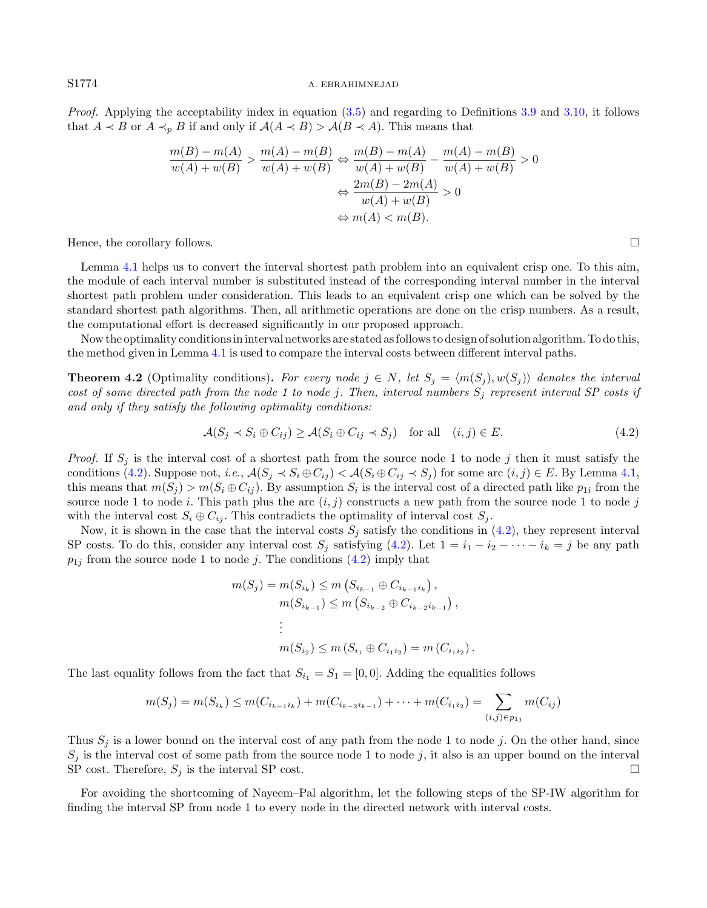Proof. Applying the acceptability index in equation [\(3.5\)](#page-4-2) and regarding to Definitions [3.9](#page-4-0) and [3.10,](#page-4-1) it follows that  $A \prec B$  or  $A \prec_p B$  if and only if  $\mathcal{A}(A \prec B) > \mathcal{A}(B \prec A)$ . This means that

<span id="page-7-0"></span>
$$
\frac{m(B) - m(A)}{w(A) + w(B)} > \frac{m(A) - m(B)}{w(A) + w(B)} \Leftrightarrow \frac{m(B) - m(A)}{w(A) + w(B)} - \frac{m(A) - m(B)}{w(A) + w(B)} > 0
$$
\n
$$
\Leftrightarrow \frac{2m(B) - 2m(A)}{w(A) + w(B)} > 0
$$
\n
$$
\Leftrightarrow m(A) < m(B).
$$

Hence, the corollary follows.  $\Box$ 

Lemma [4.1](#page-6-0) helps us to convert the interval shortest path problem into an equivalent crisp one. To this aim, the module of each interval number is substituted instead of the corresponding interval number in the interval shortest path problem under consideration. This leads to an equivalent crisp one which can be solved by the standard shortest path algorithms. Then, all arithmetic operations are done on the crisp numbers. As a result, the computational effort is decreased significantly in our proposed approach.

Now the optimality conditions in interval networks are stated as follows to design of solution algorithm. To do this, the method given in Lemma [4.1](#page-6-0) is used to compare the interval costs between different interval paths.

**Theorem 4.2** (Optimality conditions). For every node  $j \in N$ , let  $S_j = \langle m(S_j), w(S_j) \rangle$  denotes the interval cost of some directed path from the node 1 to node j. Then, interval numbers  $S_i$  represent interval SP costs if and only if they satisfy the following optimality conditions:

$$
\mathcal{A}(S_j \prec S_i \oplus C_{ij}) \ge \mathcal{A}(S_i \oplus C_{ij} \prec S_j) \quad \text{for all} \quad (i,j) \in E. \tag{4.2}
$$

*Proof.* If  $S_i$  is the interval cost of a shortest path from the source node 1 to node j then it must satisfy the conditions [\(4.2\)](#page-7-0). Suppose not, i.e.,  $\mathcal{A}(S_i \prec S_i \oplus C_{ij}) < \mathcal{A}(S_i \oplus C_{ij} \prec S_j)$  for some arc  $(i, j) \in E$ . By Lemma [4.1,](#page-6-0) this means that  $m(S_j) > m(S_i \oplus C_{ij})$ . By assumption  $S_i$  is the interval cost of a directed path like  $p_{1i}$  from the source node 1 to node i. This path plus the arc  $(i, j)$  constructs a new path from the source node 1 to node j with the interval cost  $S_i \oplus C_{ij}$ . This contradicts the optimality of interval cost  $S_i$ .

Now, it is shown in the case that the interval costs  $S_j$  satisfy the conditions in [\(4.2\)](#page-7-0), they represent interval SP costs. To do this, consider any interval cost  $S_j$  satisfying [\(4.2\)](#page-7-0). Let  $1 = i_1 - i_2 - \cdots - i_k = j$  be any path  $p_{1j}$  from the source node 1 to node j. The conditions [\(4.2\)](#page-7-0) imply that

$$
m(S_j) = m(S_{i_k}) \le m(S_{i_{k-1}} \oplus C_{i_{k-1}i_k}),
$$
  
\n
$$
m(S_{i_{k-1}}) \le m(S_{i_{k-2}} \oplus C_{i_{k-2}i_{k-1}}),
$$
  
\n
$$
\vdots
$$
  
\n
$$
m(S_{i_2}) \le m(S_{i_1} \oplus C_{i_1i_2}) = m(C_{i_1i_2}).
$$

The last equality follows from the fact that  $S_{i_1} = S_1 = [0, 0]$ . Adding the equalities follows

$$
m(S_j) = m(S_{i_k}) \le m(C_{i_{k-1}i_k}) + m(C_{i_{k-2}i_{k-1}}) + \dots + m(C_{i_1i_2}) = \sum_{(i,j) \in p_{1j}} m(C_{ij})
$$

Thus  $S_j$  is a lower bound on the interval cost of any path from the node 1 to node j. On the other hand, since  $S_j$  is the interval cost of some path from the source node 1 to node j, it also is an upper bound on the interval SP cost. Therefore,  $S_j$  is the interval SP cost.

For avoiding the shortcoming of Nayeem–Pal algorithm, let the following steps of the SP-IW algorithm for finding the interval SP from node 1 to every node in the directed network with interval costs.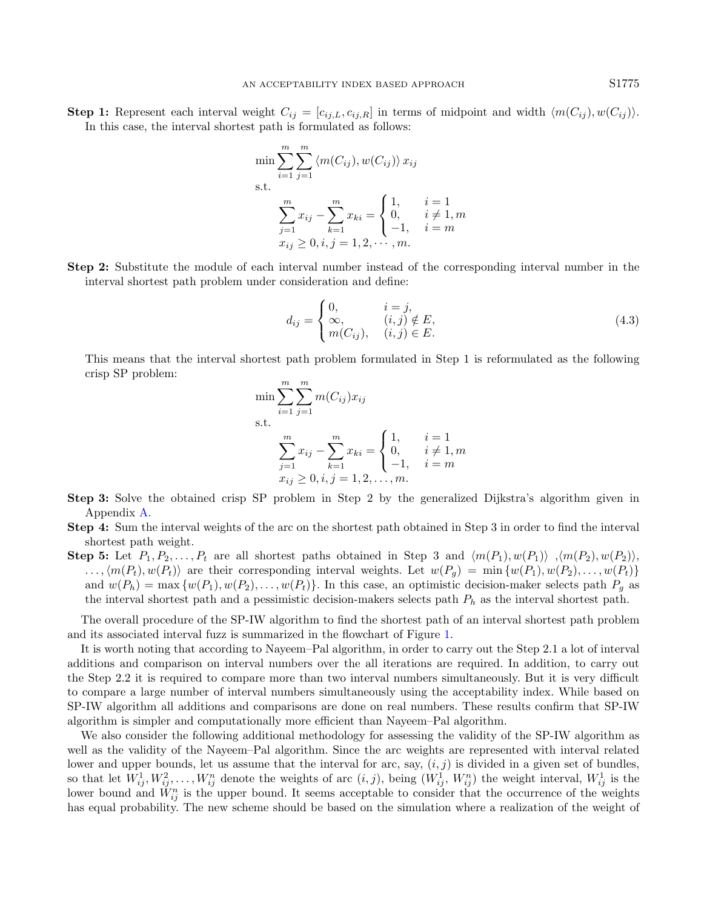Step 1: Represent each interval weight  $C_{ij} = [c_{ij,L}, c_{ij,R}]$  in terms of midpoint and width  $\langle m(C_{ij}), w(C_{ij}) \rangle$ . In this case, the interval shortest path is formulated as follows:

$$
\min \sum_{i=1}^{m} \sum_{j=1}^{m} \langle m(C_{ij}), w(C_{ij}) \rangle x_{ij}
$$
\ns.t.  
\n
$$
\sum_{j=1}^{m} x_{ij} - \sum_{k=1}^{m} x_{ki} = \begin{cases} 1, & i = 1 \\ 0, & i \neq 1, m \\ -1, & i = m \end{cases}
$$
\n
$$
x_{ij} \ge 0, i, j = 1, 2, \dots, m.
$$

Step 2: Substitute the module of each interval number instead of the corresponding interval number in the interval shortest path problem under consideration and define:

$$
d_{ij} = \begin{cases} 0, & i = j, \\ \infty, & (i,j) \notin E, \\ m(C_{ij}), & (i,j) \in E. \end{cases}
$$
(4.3)

This means that the interval shortest path problem formulated in Step 1 is reformulated as the following crisp SP problem:

$$
\min \sum_{i=1}^{m} \sum_{j=1}^{m} m(C_{ij}) x_{ij}
$$
\ns.t.\n
$$
\sum_{j=1}^{m} x_{ij} - \sum_{k=1}^{m} x_{ki} = \begin{cases} 1, & i = 1 \\ 0, & i \neq 1, m \\ -1, & i = m \end{cases}
$$
\n
$$
x_{ij} \ge 0, i, j = 1, 2, \dots, m.
$$

- Step 3: Solve the obtained crisp SP problem in Step 2 by the generalized Dijkstra's algorithm given in Appendix [A.](#page-18-17)
- Step 4: Sum the interval weights of the arc on the shortest path obtained in Step 3 in order to find the interval shortest path weight.
- **Step 5:** Let  $P_1, P_2, \ldots, P_t$  are all shortest paths obtained in Step 3 and  $\langle m(P_1), w(P_1) \rangle$ ,  $\langle m(P_2), w(P_2) \rangle$ ,  $\ldots, \langle m(P_t), w(P_t) \rangle$  are their corresponding interval weights. Let  $w(P_q) = \min \{w(P_1), w(P_2), \ldots, w(P_t)\}\$ and  $w(P_h) = \max \{w(P_1), w(P_2), \ldots, w(P_t)\}.$  In this case, an optimistic decision-maker selects path  $P_g$  as the interval shortest path and a pessimistic decision-makers selects path  $P_h$  as the interval shortest path.

The overall procedure of the SP-IW algorithm to find the shortest path of an interval shortest path problem and its associated interval fuzz is summarized in the flowchart of Figure [1.](#page-9-1)

It is worth noting that according to Nayeem–Pal algorithm, in order to carry out the Step 2.1 a lot of interval additions and comparison on interval numbers over the all iterations are required. In addition, to carry out the Step 2.2 it is required to compare more than two interval numbers simultaneously. But it is very difficult to compare a large number of interval numbers simultaneously using the acceptability index. While based on SP-IW algorithm all additions and comparisons are done on real numbers. These results confirm that SP-IW algorithm is simpler and computationally more efficient than Nayeem–Pal algorithm.

We also consider the following additional methodology for assessing the validity of the SP-IW algorithm as well as the validity of the Nayeem–Pal algorithm. Since the arc weights are represented with interval related lower and upper bounds, let us assume that the interval for arc, say,  $(i, j)$  is divided in a given set of bundles, so that let  $W_{ij}^1, W_{ij}^2, \ldots, W_{ij}^n$  denote the weights of arc  $(i, j)$ , being  $(W_{ij}^1, W_{ij}^n)$  the weight interval,  $W_{ij}^1$  is the lower bound and  $\check{W}_{ij}^n$  is the upper bound. It seems acceptable to consider that the occurrence of the weights has equal probability. The new scheme should be based on the simulation where a realization of the weight of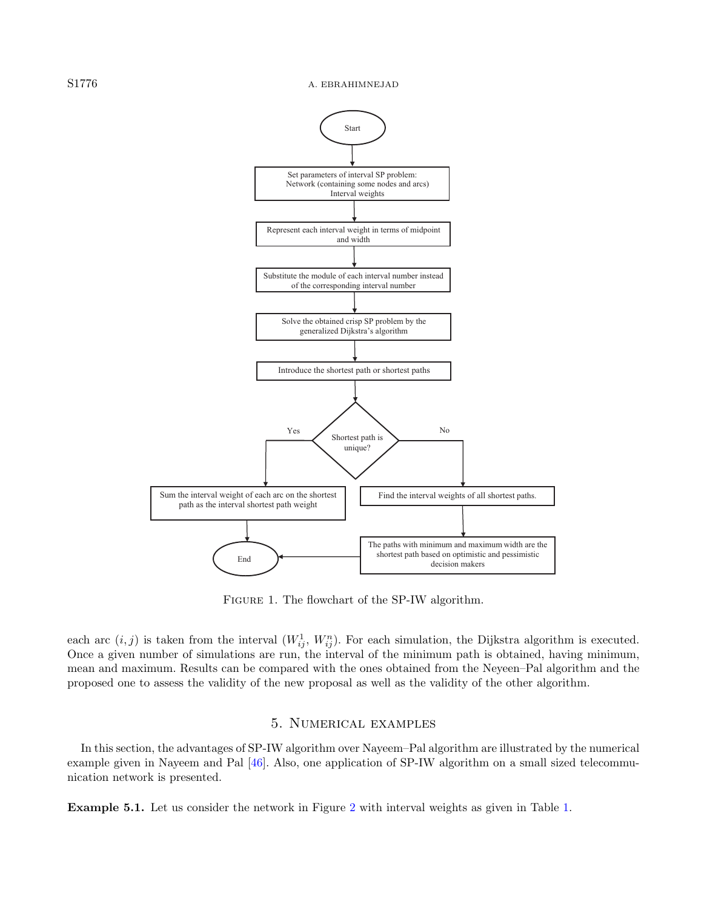#### S1776 A. EBRAHIMNEJAD



<span id="page-9-1"></span>Figure 1. The flowchart of the SP-IW algorithm.

each arc  $(i, j)$  is taken from the interval  $(W_{ij}^1, W_{ij}^n)$ . For each simulation, the Dijkstra algorithm is executed. Once a given number of simulations are run, the interval of the minimum path is obtained, having minimum, mean and maximum. Results can be compared with the ones obtained from the Neyeen–Pal algorithm and the proposed one to assess the validity of the new proposal as well as the validity of the other algorithm.

# 5. Numerical examples

<span id="page-9-0"></span>In this section, the advantages of SP-IW algorithm over Nayeem–Pal algorithm are illustrated by the numerical example given in Nayeem and Pal [\[46\]](#page-19-1). Also, one application of SP-IW algorithm on a small sized telecommunication network is presented.

<span id="page-9-2"></span>Example 5.1. Let us consider the network in Figure [2](#page-10-0) with interval weights as given in Table [1.](#page-10-1)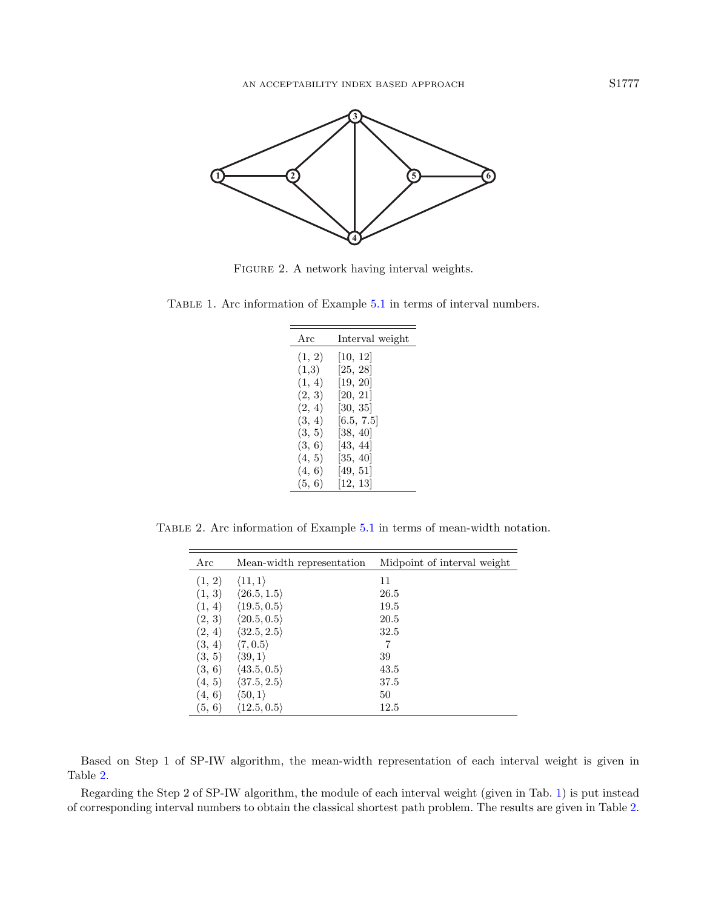<span id="page-10-1"></span><span id="page-10-0"></span>

FIGURE 2. A network having interval weights.

<span id="page-10-2"></span>Table 1. Arc information of Example [5.1](#page-9-2) in terms of interval numbers.

| Arc    | Interval weight |
|--------|-----------------|
| (1, 2) | [10, 12]        |
| (1,3)  | [25, 28]        |
| (1, 4) | [19, 20]        |
| (2, 3) | [20, 21]        |
| (2, 4) | [30, 35]        |
| (3, 4) | [6.5, 7.5]      |
| (3, 5) | [38, 40]        |
| (3, 6) | [43, 44]        |
| (4, 5) | [35, 40]        |
| (4, 6) | [49, 51]        |
| (5, 6) | [12, 13]        |

Table 2. Arc information of Example [5.1](#page-9-2) in terms of mean-width notation.

| Arc    | Mean-width representation   | Midpoint of interval weight |
|--------|-----------------------------|-----------------------------|
| (1, 2) | $\langle 11, 1 \rangle$     | 11                          |
| (1, 3) | $\langle 26.5, 1.5 \rangle$ | 26.5                        |
| (1, 4) | $\langle 19.5, 0.5 \rangle$ | 19.5                        |
| (2, 3) | $\langle 20.5, 0.5 \rangle$ | 20.5                        |
| (2, 4) | $\langle 32.5, 2.5 \rangle$ | 32.5                        |
| (3, 4) | $\langle 7, 0.5 \rangle$    | 7                           |
| (3, 5) | $\langle 39, 1 \rangle$     | 39                          |
| (3, 6) | $\langle 43.5, 0.5 \rangle$ | 43.5                        |
| (4, 5) | $\langle 37.5, 2.5 \rangle$ | 37.5                        |
| (4, 6) | $\langle 50,1\rangle$       | 50                          |
| (5, 6) | $\langle 12.5, 0.5 \rangle$ | 12.5                        |

Based on Step 1 of SP-IW algorithm, the mean-width representation of each interval weight is given in Table [2.](#page-10-2)

Regarding the Step 2 of SP-IW algorithm, the module of each interval weight (given in Tab. [1\)](#page-10-1) is put instead of corresponding interval numbers to obtain the classical shortest path problem. The results are given in Table [2.](#page-10-2)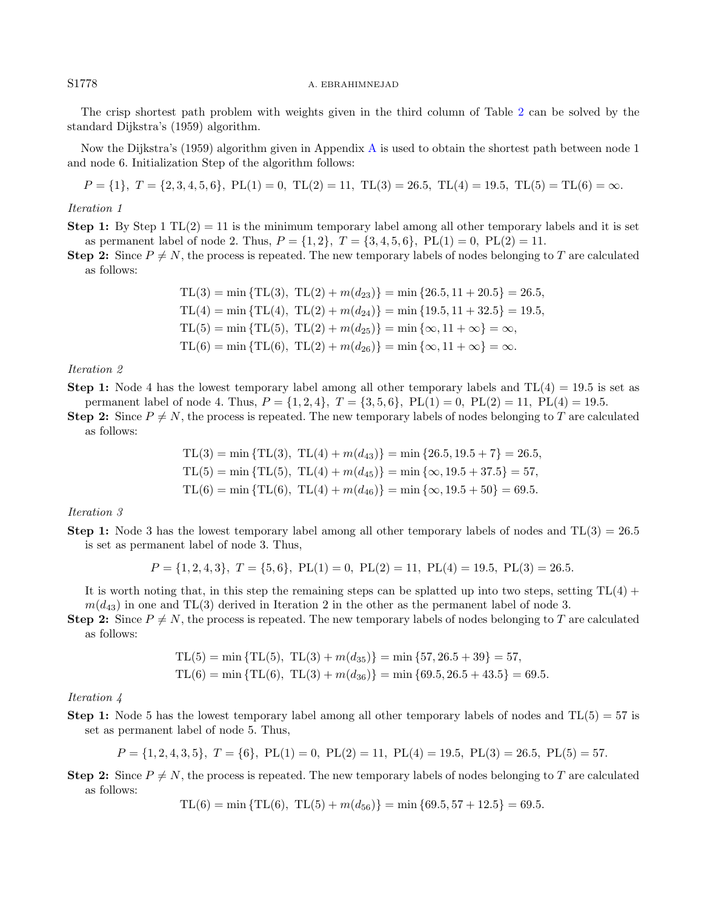#### S1778 A. EBRAHIMNEJAD

The crisp shortest path problem with weights given in the third column of Table [2](#page-10-2) can be solved by the standard Dijkstra's (1959) algorithm.

Now the Dijkstra's (1959) algorithm given in Appendix [A](#page-18-17) is used to obtain the shortest path between node 1 and node 6. Initialization Step of the algorithm follows:

$$
P = \{1\}, \ T = \{2, 3, 4, 5, 6\}, \ PL(1) = 0, \ TL(2) = 11, \ TL(3) = 26.5, \ TL(4) = 19.5, \ TL(5) = TL(6) = \infty.
$$

#### Iteration 1

**Step 1:** By Step 1  $TL(2) = 11$  is the minimum temporary label among all other temporary labels and it is set as permanent label of node 2. Thus,  $P = \{1, 2\}$ ,  $T = \{3, 4, 5, 6\}$ ,  $PL(1) = 0$ ,  $PL(2) = 11$ .

**Step 2:** Since  $P \neq N$ , the process is repeated. The new temporary labels of nodes belonging to T are calculated as follows:

TL(3) = min {TL(3), TL(2) + 
$$
m(d_{23}
$$
)} = min {26.5, 11 + 20.5} = 26.5,  
TL(4) = min {TL(4), TL(2) +  $m(d_{24}$ )} = min {19.5, 11 + 32.5} = 19.5,  
TL(5) = min {TL(5), TL(2) +  $m(d_{25}$ )} = min { $\infty$ , 11 +  $\infty$ } =  $\infty$ ,  
TL(6) = min {TL(6), TL(2) +  $m(d_{26}$ )} = min { $\infty$ , 11 +  $\infty$ } =  $\infty$ .

Iteration 2

**Step 1:** Node 4 has the lowest temporary label among all other temporary labels and  $TL(4) = 19.5$  is set as permanent label of node 4. Thus,  $P = \{1, 2, 4\}$ ,  $T = \{3, 5, 6\}$ ,  $PL(1) = 0$ ,  $PL(2) = 11$ ,  $PL(4) = 19.5$ .

**Step 2:** Since  $P \neq N$ , the process is repeated. The new temporary labels of nodes belonging to T are calculated as follows:

TL(3) = min {TL(3), TL(4) + 
$$
m(d_{43}
$$
)} = min {26.5, 19.5 + 7} = 26.5,  
TL(5) = min {TL(5), TL(4) +  $m(d_{45}$ )} = min { $\infty$ , 19.5 + 37.5} = 57,  
TL(6) = min {TL(6), TL(4) +  $m(d_{46}$ )} = min { $\infty$ , 19.5 + 50} = 69.5.

Iteration 3

**Step 1:** Node 3 has the lowest temporary label among all other temporary labels of nodes and  $TL(3) = 26.5$ is set as permanent label of node 3. Thus,

$$
P = \{1, 2, 4, 3\}, T = \{5, 6\}, PL(1) = 0, PL(2) = 11, PL(4) = 19.5, PL(3) = 26.5.
$$

It is worth noting that, in this step the remaining steps can be splatted up into two steps, setting  $TL(4)$  +  $m(d_{43})$  in one and TL(3) derived in Iteration 2 in the other as the permanent label of node 3.

**Step 2:** Since  $P \neq N$ , the process is repeated. The new temporary labels of nodes belonging to T are calculated as follows:

$$
TL(5) = min \{ TL(5), TL(3) + m(d_{35}) \} = min \{ 57, 26.5 + 39 \} = 57,
$$
  

$$
TL(6) = min \{ TL(6), TL(3) + m(d_{36}) \} = min \{ 69.5, 26.5 + 43.5 \} = 69.5.
$$

Iteration 4

**Step 1:** Node 5 has the lowest temporary label among all other temporary labels of nodes and  $TL(5) = 57$  is set as permanent label of node 5. Thus,

$$
P = \{1, 2, 4, 3, 5\}, T = \{6\}, PL(1) = 0, PL(2) = 11, PL(4) = 19.5, PL(3) = 26.5, PL(5) = 57.
$$

**Step 2:** Since  $P \neq N$ , the process is repeated. The new temporary labels of nodes belonging to T are calculated as follows:

 $TL(6) = min \{ TL(6), TL(5) + m(d_{56}) \} = min \{69.5, 57 + 12.5 \} = 69.5.$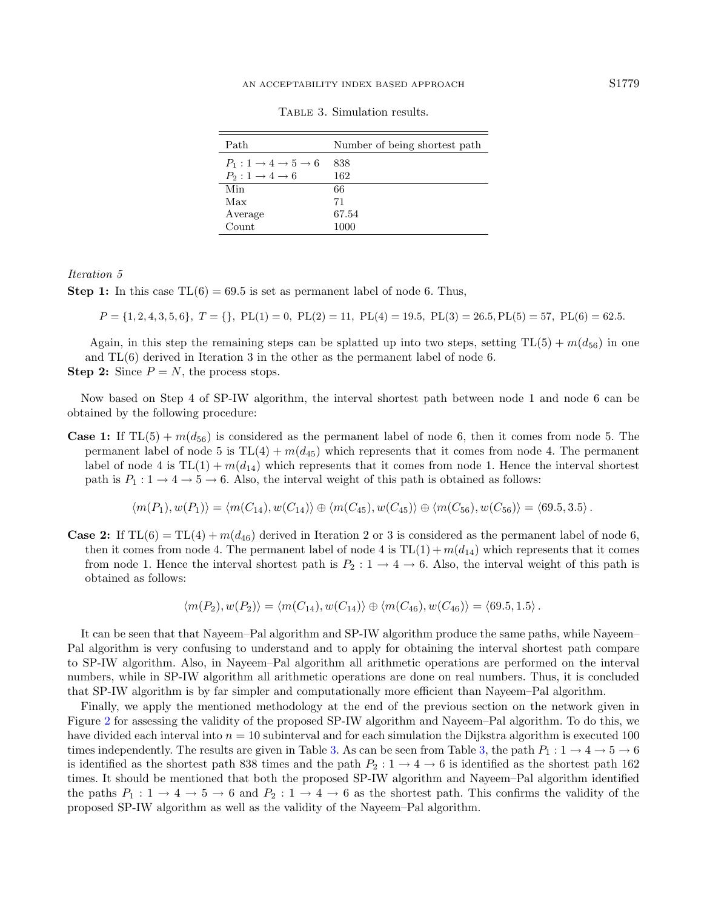| Path                                               | Number of being shortest path |
|----------------------------------------------------|-------------------------------|
| $P_1: 1 \rightarrow 4 \rightarrow 5 \rightarrow 6$ | 838                           |
| $P_2: 1 \rightarrow 4 \rightarrow 6$               | 162                           |
| Min                                                | 66                            |
| Max                                                | 71                            |
| Average                                            | 67.54                         |
| Count                                              | 1000                          |

<span id="page-12-0"></span>Table 3. Simulation results.

#### Iteration 5

**Step 1:** In this case  $TL(6) = 69.5$  is set as permanent label of node 6. Thus,

 $P = \{1, 2, 4, 3, 5, 6\}, T = \{\}$ ,  $PL(1) = 0$ ,  $PL(2) = 11$ ,  $PL(4) = 19.5$ ,  $PL(3) = 26.5$ ,  $PL(5) = 57$ ,  $PL(6) = 62.5$ .

Again, in this step the remaining steps can be splatted up into two steps, setting  $TL(5) + m(d_{56})$  in one and TL(6) derived in Iteration 3 in the other as the permanent label of node 6. **Step 2:** Since  $P = N$ , the process stops.

Now based on Step 4 of SP-IW algorithm, the interval shortest path between node 1 and node 6 can be obtained by the following procedure:

**Case 1:** If  $TL(5) + m(d_{56})$  is considered as the permanent label of node 6, then it comes from node 5. The permanent label of node 5 is  $TL(4) + m(d_{45})$  which represents that it comes from node 4. The permanent label of node 4 is  $TL(1) + m(d_{14})$  which represents that it comes from node 1. Hence the interval shortest path is  $P_1: 1 \rightarrow 4 \rightarrow 5 \rightarrow 6$ . Also, the interval weight of this path is obtained as follows:

$$
\langle m(P_1), w(P_1) \rangle = \langle m(C_{14}), w(C_{14}) \rangle \oplus \langle m(C_{45}), w(C_{45}) \rangle \oplus \langle m(C_{56}), w(C_{56}) \rangle = \langle 69.5, 3.5 \rangle.
$$

**Case 2:** If  $TL(6) = TL(4) + m(d_{46})$  derived in Iteration 2 or 3 is considered as the permanent label of node 6, then it comes from node 4. The permanent label of node 4 is  $TL(1) + m(d_{14})$  which represents that it comes from node 1. Hence the interval shortest path is  $P_2: 1 \rightarrow 4 \rightarrow 6$ . Also, the interval weight of this path is obtained as follows:

$$
\langle m(P_2), w(P_2) \rangle = \langle m(C_{14}), w(C_{14}) \rangle \oplus \langle m(C_{46}), w(C_{46}) \rangle = \langle 69.5, 1.5 \rangle.
$$

It can be seen that that Nayeem–Pal algorithm and SP-IW algorithm produce the same paths, while Nayeem– Pal algorithm is very confusing to understand and to apply for obtaining the interval shortest path compare to SP-IW algorithm. Also, in Nayeem–Pal algorithm all arithmetic operations are performed on the interval numbers, while in SP-IW algorithm all arithmetic operations are done on real numbers. Thus, it is concluded that SP-IW algorithm is by far simpler and computationally more efficient than Nayeem–Pal algorithm.

<span id="page-12-1"></span>Finally, we apply the mentioned methodology at the end of the previous section on the network given in Figure [2](#page-10-0) for assessing the validity of the proposed SP-IW algorithm and Nayeem–Pal algorithm. To do this, we have divided each interval into  $n = 10$  subinterval and for each simulation the Dijkstra algorithm is executed 100 times independently. The results are given in Table [3.](#page-12-0) As can be seen from Table [3,](#page-12-0) the path  $P_1: 1 \to 4 \to 5 \to 6$ is identified as the shortest path 838 times and the path  $P_2$  :  $1 \rightarrow 4 \rightarrow 6$  is identified as the shortest path 162 times. It should be mentioned that both the proposed SP-IW algorithm and Nayeem–Pal algorithm identified the paths  $P_1: 1 \to 4 \to 5 \to 6$  and  $P_2: 1 \to 4 \to 6$  as the shortest path. This confirms the validity of the proposed SP-IW algorithm as well as the validity of the Nayeem–Pal algorithm.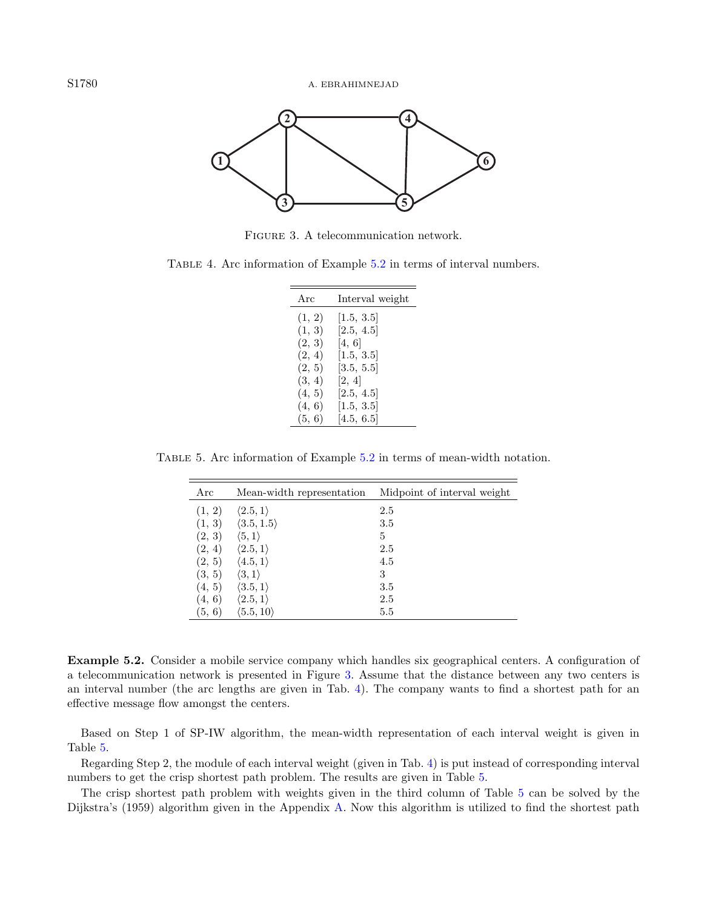<span id="page-13-1"></span><span id="page-13-0"></span>

Figure 3. A telecommunication network.

<span id="page-13-2"></span>

| TABLE 4. Arc information of Example 5.2 in terms of interval numbers. |  |
|-----------------------------------------------------------------------|--|
|-----------------------------------------------------------------------|--|

| Arc    | Interval weight |
|--------|-----------------|
| (1, 2) | [1.5, 3.5]      |
| (1, 3) | [2.5, 4.5]      |
| (2, 3) | [4, 6]          |
| (2, 4) | [1.5, 3.5]      |
| (2, 5) | [3.5, 5.5]      |
| (3, 4) | [2, 4]          |
| (4, 5) | [2.5, 4.5]      |
| (4, 6) | [1.5, 3.5]      |
| (5, 6) | [4.5, 6.5]      |

Table 5. Arc information of Example [5.2](#page-12-1) in terms of mean-width notation.

| Arc    | Mean-width representation  | Midpoint of interval weight |
|--------|----------------------------|-----------------------------|
| (1, 2) | $\langle 2.5, 1 \rangle$   | 2.5                         |
| (1, 3) | $\langle 3.5, 1.5 \rangle$ | 3.5                         |
| (2, 3) | $\langle 5,1\rangle$       | 5                           |
| (2, 4) | $\langle 2.5,1\rangle$     | 2.5                         |
| (2, 5) | $\langle 4.5,1\rangle$     | 4.5                         |
| (3, 5) | $\langle 3,1\rangle$       | 3                           |
| (4, 5) | $\langle 3.5,1\rangle$     | 3.5                         |
| (4, 6) | $\langle 2.5,1\rangle$     | 2.5                         |
| (5, 6) | $\langle 5.5,10 \rangle$   | 5.5                         |

Example 5.2. Consider a mobile service company which handles six geographical centers. A configuration of a telecommunication network is presented in Figure [3.](#page-13-0) Assume that the distance between any two centers is an interval number (the arc lengths are given in Tab. [4\)](#page-13-1). The company wants to find a shortest path for an effective message flow amongst the centers.

Based on Step 1 of SP-IW algorithm, the mean-width representation of each interval weight is given in Table [5.](#page-13-2)

Regarding Step 2, the module of each interval weight (given in Tab. [4\)](#page-13-1) is put instead of corresponding interval numbers to get the crisp shortest path problem. The results are given in Table [5.](#page-13-2)

The crisp shortest path problem with weights given in the third column of Table [5](#page-13-2) can be solved by the Dijkstra's (1959) algorithm given in the Appendix [A.](#page-18-17) Now this algorithm is utilized to find the shortest path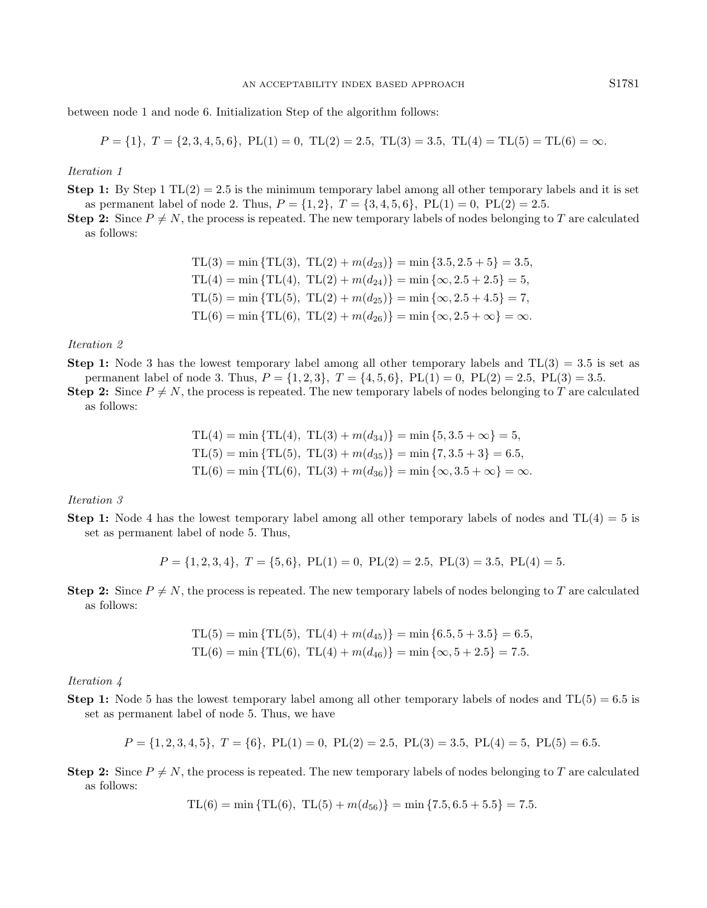between node 1 and node 6. Initialization Step of the algorithm follows:

$$
P = \{1\}, T = \{2, 3, 4, 5, 6\}, PL(1) = 0, TL(2) = 2.5, TL(3) = 3.5, TL(4) = TL(5) = TL(6) = \infty.
$$

#### Iteration 1

**Step 1:** By Step 1  $TL(2) = 2.5$  is the minimum temporary label among all other temporary labels and it is set as permanent label of node 2. Thus,  $P = \{1, 2\}$ ,  $T = \{3, 4, 5, 6\}$ ,  $PL(1) = 0$ ,  $PL(2) = 2.5$ .

**Step 2:** Since  $P \neq N$ , the process is repeated. The new temporary labels of nodes belonging to T are calculated as follows:

TL(3) = min {TL(3), TL(2) + 
$$
m(d_{23})
$$
} = min {3.5, 2.5 + 5} = 3.5,  
TL(4) = min {TL(4), TL(2) +  $m(d_{24})$ } = min { $\infty$ , 2.5 + 2.5} = 5,  
TL(5) = min {TL(5), TL(2) +  $m(d_{25})$ } = min { $\infty$ , 2.5 + 4.5} = 7,  
TL(6) = min {TL(6), TL(2) +  $m(d_{26})$ } = min { $\infty$ , 2.5 +  $\infty$ } =  $\infty$ .

## Iteration 2

**Step 1:** Node 3 has the lowest temporary label among all other temporary labels and  $TL(3) = 3.5$  is set as permanent label of node 3. Thus,  $P = \{1, 2, 3\}$ ,  $T = \{4, 5, 6\}$ ,  $PL(1) = 0$ ,  $PL(2) = 2.5$ ,  $PL(3) = 3.5$ .

**Step 2:** Since  $P \neq N$ , the process is repeated. The new temporary labels of nodes belonging to T are calculated as follows:

$$
TL(4) = min \{ TL(4), TL(3) + m(d_{34}) \} = min \{ 5, 3.5 + \infty \} = 5,
$$
  
\n
$$
TL(5) = min \{ TL(5), TL(3) + m(d_{35}) \} = min \{ 7, 3.5 + 3 \} = 6.5,
$$
  
\n
$$
TL(6) = min \{ TL(6), TL(3) + m(d_{36}) \} = min \{ \infty, 3.5 + \infty \} = \infty
$$

#### Iteration 3

**Step 1:** Node 4 has the lowest temporary label among all other temporary labels of nodes and  $TL(4) = 5$  is set as permanent label of node 5. Thus,

 $P = \{1, 2, 3, 4\}, T = \{5, 6\}, PL(1) = 0, PL(2) = 2.5, PL(3) = 3.5, PL(4) = 5.$ 

**Step 2:** Since  $P \neq N$ , the process is repeated. The new temporary labels of nodes belonging to T are calculated as follows:

$$
TL(5) = min \{ TL(5), TL(4) + m(d_{45}) \} = min \{ 6.5, 5 + 3.5 \} = 6.5,
$$
  

$$
TL(6) = min \{ TL(6), TL(4) + m(d_{46}) \} = min \{ \infty, 5 + 2.5 \} = 7.5.
$$

Iteration 4

**Step 1:** Node 5 has the lowest temporary label among all other temporary labels of nodes and  $TL(5) = 6.5$  is set as permanent label of node 5. Thus, we have

$$
P = \{1, 2, 3, 4, 5\}, T = \{6\}, PL(1) = 0, PL(2) = 2.5, PL(3) = 3.5, PL(4) = 5, PL(5) = 6.5.
$$

**Step 2:** Since  $P \neq N$ , the process is repeated. The new temporary labels of nodes belonging to T are calculated as follows:

$$
TL(6) = \min \{ TL(6), TL(5) + m(d_{56}) \} = \min \{ 7.5, 6.5 + 5.5 \} = 7.5.
$$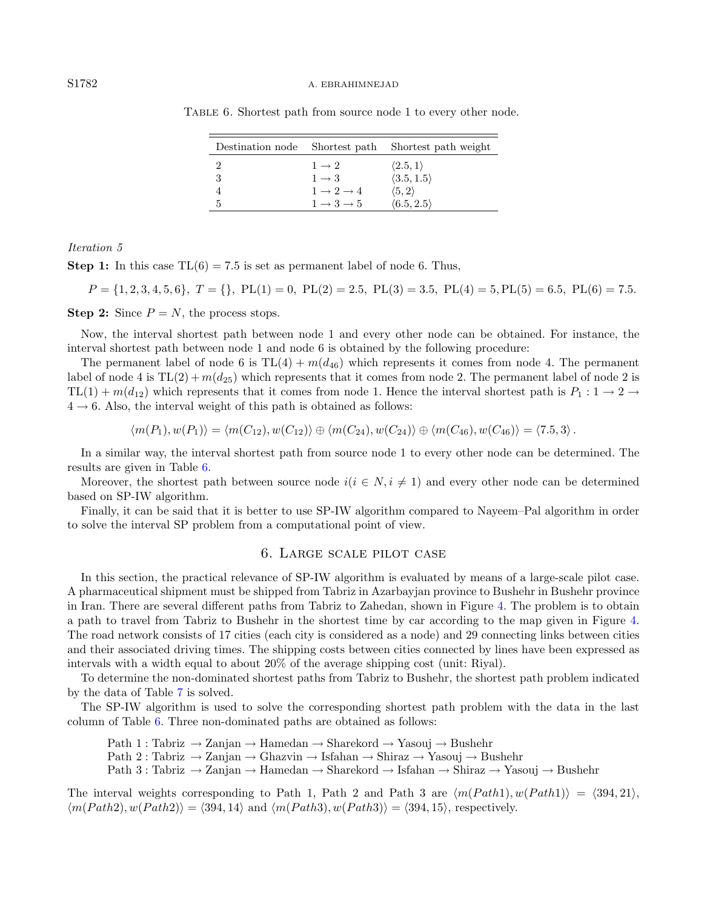#### S1782 A. EBRAHIMNEJAD

| Destination node Shortest path |                                 | Shortest path weight       |
|--------------------------------|---------------------------------|----------------------------|
|                                | $1 \rightarrow 2$               | $\langle 2.5, 1 \rangle$   |
| 3                              | $1 \rightarrow 3$               | $\langle 3.5, 1.5 \rangle$ |
|                                | $1 \rightarrow 2 \rightarrow 4$ | $\langle 5, 2 \rangle$     |
| 5                              | $1 \rightarrow 3 \rightarrow 5$ | $\langle 6.5, 2.5 \rangle$ |

<span id="page-15-1"></span>Table 6. Shortest path from source node 1 to every other node.

Iteration 5

**Step 1:** In this case  $TL(6) = 7.5$  is set as permanent label of node 6. Thus,

$$
P = \{1, 2, 3, 4, 5, 6\}, T = \{\}
$$
, PL(1) = 0, PL(2) = 2.5, PL(3) = 3.5, PL(4) = 5, PL(5) = 6.5, PL(6) = 7.5.

**Step 2:** Since  $P = N$ , the process stops.

Now, the interval shortest path between node 1 and every other node can be obtained. For instance, the interval shortest path between node 1 and node 6 is obtained by the following procedure:

The permanent label of node 6 is  $TL(4) + m(d_{46})$  which represents it comes from node 4. The permanent label of node 4 is  $TL(2) + m(d_{25})$  which represents that it comes from node 2. The permanent label of node 2 is  $TL(1) + m(d_{12})$  which represents that it comes from node 1. Hence the interval shortest path is  $P_1: 1 \rightarrow 2 \rightarrow$  $4 \rightarrow 6$ . Also, the interval weight of this path is obtained as follows:

$$
\langle m(P_1), w(P_1) \rangle = \langle m(C_{12}), w(C_{12}) \rangle \oplus \langle m(C_{24}), w(C_{24}) \rangle \oplus \langle m(C_{46}), w(C_{46}) \rangle = \langle 7.5, 3 \rangle.
$$

In a similar way, the interval shortest path from source node 1 to every other node can be determined. The results are given in Table [6.](#page-15-1)

Moreover, the shortest path between source node  $i(i \in N, i \neq 1)$  and every other node can be determined based on SP-IW algorithm.

Finally, it can be said that it is better to use SP-IW algorithm compared to Nayeem–Pal algorithm in order to solve the interval SP problem from a computational point of view.

# 6. Large scale pilot case

<span id="page-15-0"></span>In this section, the practical relevance of SP-IW algorithm is evaluated by means of a large-scale pilot case. A pharmaceutical shipment must be shipped from Tabriz in Azarbayjan province to Bushehr in Bushehr province in Iran. There are several different paths from Tabriz to Zahedan, shown in Figure [4.](#page-16-1) The problem is to obtain a path to travel from Tabriz to Bushehr in the shortest time by car according to the map given in Figure [4.](#page-16-1) The road network consists of 17 cities (each city is considered as a node) and 29 connecting links between cities and their associated driving times. The shipping costs between cities connected by lines have been expressed as intervals with a width equal to about 20% of the average shipping cost (unit: Riyal).

To determine the non-dominated shortest paths from Tabriz to Bushehr, the shortest path problem indicated by the data of Table [7](#page-17-0) is solved.

The SP-IW algorithm is used to solve the corresponding shortest path problem with the data in the last column of Table [6.](#page-15-1) Three non-dominated paths are obtained as follows:

Path 1 : Tabriz  $\rightarrow$  Zanjan  $\rightarrow$  Hamedan  $\rightarrow$  Sharekord  $\rightarrow$  Yasouj  $\rightarrow$  Bushehr

Path 2 : Tabriz  $\rightarrow$  Zanjan  $\rightarrow$  Ghazvin  $\rightarrow$  Isfahan  $\rightarrow$  Shiraz  $\rightarrow$  Yasouj  $\rightarrow$  Bushehr

Path 3 : Tabriz → Zanjan → Hamedan → Sharekord → Isfahan → Shiraz → Yasouj → Bushehr

The interval weights corresponding to Path 1, Path 2 and Path 3 are  $\langle m(Path1), w(Path1) \rangle = \langle 394, 21 \rangle$ ,  $\langle m(Path2), w(Path2) \rangle = \langle 394, 14 \rangle$  and  $\langle m(Path3), w(Path3) \rangle = \langle 394, 15 \rangle$ , respectively.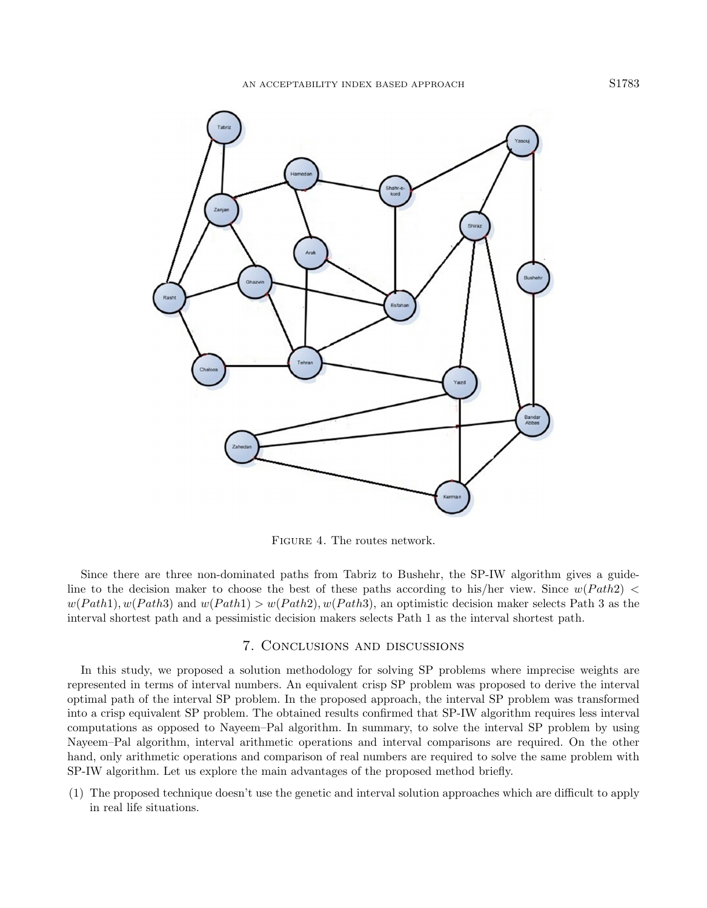

<span id="page-16-1"></span>Figure 4. The routes network.

Since there are three non-dominated paths from Tabriz to Bushehr, the SP-IW algorithm gives a guideline to the decision maker to choose the best of these paths according to his/her view. Since  $w(Path2)$  <  $w(Path1), w(Path3)$  and  $w(Path1) > w(Path2), w(Path3)$ , an optimistic decision maker selects Path 3 as the interval shortest path and a pessimistic decision makers selects Path 1 as the interval shortest path.

# 7. Conclusions and discussions

<span id="page-16-0"></span>In this study, we proposed a solution methodology for solving SP problems where imprecise weights are represented in terms of interval numbers. An equivalent crisp SP problem was proposed to derive the interval optimal path of the interval SP problem. In the proposed approach, the interval SP problem was transformed into a crisp equivalent SP problem. The obtained results confirmed that SP-IW algorithm requires less interval computations as opposed to Nayeem–Pal algorithm. In summary, to solve the interval SP problem by using Nayeem–Pal algorithm, interval arithmetic operations and interval comparisons are required. On the other hand, only arithmetic operations and comparison of real numbers are required to solve the same problem with SP-IW algorithm. Let us explore the main advantages of the proposed method briefly.

(1) The proposed technique doesn't use the genetic and interval solution approaches which are difficult to apply in real life situations.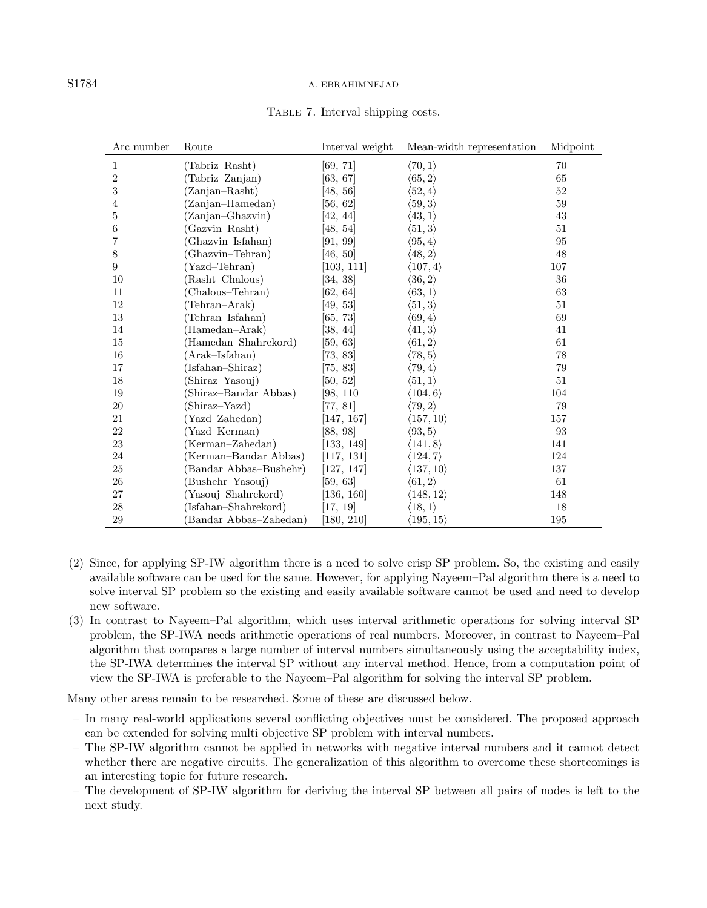#### S1784 A. EBRAHIMNEJAD

| Arc number | Route                  | Interval weight        | Mean-width representation | Midpoint |
|------------|------------------------|------------------------|---------------------------|----------|
| 1          | (Tabriz–Rasht)         | [69, 71]               | $\langle 70, 1 \rangle$   | 70       |
| 2          | (Tabriz–Zanjan)        | $\left[63,\,67\right]$ | $\langle 65, 2 \rangle$   | 65       |
| 3          | (Zanjan-Rasht)         | [48, 56]               | $\langle 52, 4\rangle$    | 52       |
| 4          | (Zanjan-Hamedan)       | [56, 62]               | $\langle 59,3\rangle$     | 59       |
| 5          | (Zanjan-Ghazvin)       | [42, 44]               | $\langle 43,1\rangle$     | 43       |
| 6          | (Gazvin–Rasht)         | [48, 54]               | $\langle 51,3\rangle$     | 51       |
| 7          | (Ghazvin-Isfahan)      | [91, 99]               | $\langle 95, 4 \rangle$   | 95       |
| 8          | (Ghazvin–Tehran)       | [46, 50]               | $\langle 48, 2 \rangle$   | 48       |
| 9          | (Yazd-Tehran)          | [103, 111]             | $\langle 107, 4 \rangle$  | 107      |
| 10         | (Rasht-Chalous)        | [34, 38]               | $\langle 36,2\rangle$     | 36       |
| 11         | (Chalous–Tehran)       | [62, 64]               | $\langle 63,1\rangle$     | 63       |
| 12         | (Tehran-Arak)          | [49, 53]               | $\langle 51,3\rangle$     | 51       |
| 13         | (Tehran–Isfahan)       | [65, 73]               | $\langle 69, 4\rangle$    | 69       |
| 14         | (Hamedan-Arak)         | $\left[38, 44\right]$  | $\langle 41,3\rangle$     | 41       |
| 15         | (Hamedan–Shahrekord)   | [59, 63]               | $\langle 61,2\rangle$     | 61       |
| 16         | (Arak–Isfahan)         | [73, 83]               | $\langle 78,5\rangle$     | 78       |
| 17         | (Isfahan-Shiraz)       | 75, 83                 | $\langle 79,4\rangle$     | 79       |
| 18         | (Shiraz–Yasouj)        | [50, 52]               | $\langle 51,1\rangle$     | 51       |
| 19         | (Shiraz-Bandar Abbas)  | [98, 110               | $\langle 104,6\rangle$    | 104      |
| 20         | (Shiraz–Yazd)          | [77, 81]               | $\langle 79,2\rangle$     | 79       |
| 21         | (Yazd–Zahedan)         | [147, 167]             | $\langle 157, 10 \rangle$ | 157      |
| 22         | (Yazd–Kerman)          | [88, 98]               | $\langle 93,5\rangle$     | 93       |
| 23         | (Kerman-Zahedan)       | [133, 149]             | $\langle 141, 8 \rangle$  | 141      |
| 24         | (Kerman-Bandar Abbas)  | [117, 131]             | $\langle 124, 7 \rangle$  | 124      |
| 25         | (Bandar Abbas–Bushehr) | [127, 147]             | $\langle 137, 10 \rangle$ | 137      |
| 26         | (Bushehr-Yasouj)       | [59, 63]               | $\langle 61,2\rangle$     | 61       |
| 27         | (Yasouj–Shahrekord)    | [136, 160]             | $\langle 148, 12 \rangle$ | 148      |
| 28         | (Isfahan–Shahrekord)   | [17, 19]               | $\langle 18, 1 \rangle$   | 18       |
| 29         | (Bandar Abbas–Zahedan) | [180, 210]             | $\langle 195,15\rangle$   | 195      |

<span id="page-17-0"></span>Table 7. Interval shipping costs.

- (2) Since, for applying SP-IW algorithm there is a need to solve crisp SP problem. So, the existing and easily available software can be used for the same. However, for applying Nayeem–Pal algorithm there is a need to solve interval SP problem so the existing and easily available software cannot be used and need to develop new software.
- (3) In contrast to Nayeem–Pal algorithm, which uses interval arithmetic operations for solving interval SP problem, the SP-IWA needs arithmetic operations of real numbers. Moreover, in contrast to Nayeem–Pal algorithm that compares a large number of interval numbers simultaneously using the acceptability index, the SP-IWA determines the interval SP without any interval method. Hence, from a computation point of view the SP-IWA is preferable to the Nayeem–Pal algorithm for solving the interval SP problem.

Many other areas remain to be researched. Some of these are discussed below.

- In many real-world applications several conflicting objectives must be considered. The proposed approach can be extended for solving multi objective SP problem with interval numbers.
- The SP-IW algorithm cannot be applied in networks with negative interval numbers and it cannot detect whether there are negative circuits. The generalization of this algorithm to overcome these shortcomings is an interesting topic for future research.
- The development of SP-IW algorithm for deriving the interval SP between all pairs of nodes is left to the next study.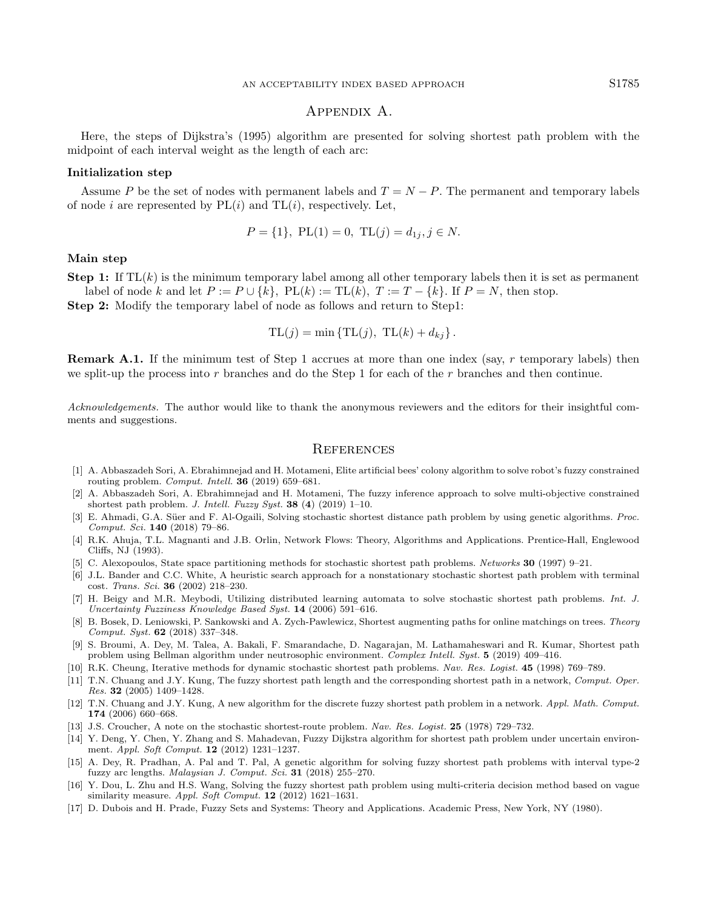# Appendix A.

<span id="page-18-17"></span>Here, the steps of Dijkstra's (1995) algorithm are presented for solving shortest path problem with the midpoint of each interval weight as the length of each arc:

## Initialization step

Assume P be the set of nodes with permanent labels and  $T = N - P$ . The permanent and temporary labels of node i are represented by  $PL(i)$  and  $TL(i)$ , respectively. Let,

$$
P = \{1\}, \ \text{PL}(1) = 0, \ \text{TL}(j) = d_{1j}, j \in N.
$$

# Main step

**Step 1:** If  $TL(k)$  is the minimum temporary label among all other temporary labels then it is set as permanent

<span id="page-18-16"></span><span id="page-18-15"></span>label of node k and let  $P := P \cup \{k\}$ ,  $PL(k) := TL(k)$ ,  $T := T - \{k\}$ . If  $P = N$ , then stop. Step 2: Modify the temporary label of node as follows and return to Step1:

$$
TL(j) = min \{ TL(j), TL(k) + d_{kj} \}.
$$

<span id="page-18-7"></span><span id="page-18-0"></span>Remark A.1. If the minimum test of Step 1 accrues at more than one index (say, r temporary labels) then we split-up the process into  $r$  branches and do the Step 1 for each of the  $r$  branches and then continue.

<span id="page-18-6"></span><span id="page-18-5"></span><span id="page-18-3"></span>Acknowledgements. The author would like to thank the anonymous reviewers and the editors for their insightful comments and suggestions.

# **REFERENCES**

- <span id="page-18-14"></span><span id="page-18-1"></span>[1] A. Abbaszadeh Sori, A. Ebrahimnejad and H. Motameni, Elite artificial bees' colony algorithm to solve robot's fuzzy constrained routing problem. Comput. Intell. 36 (2019) 659–681.
- <span id="page-18-4"></span>[2] A. Abbaszadeh Sori, A. Ebrahimnejad and H. Motameni, The fuzzy inference approach to solve multi-objective constrained shortest path problem. J. Intell. Fuzzy Syst. 38 (4) (2019) 1–10.
- <span id="page-18-9"></span>[3] E. Ahmadi, G.A. Süer and F. Al-Ogaili, Solving stochastic shortest distance path problem by using genetic algorithms. Proc. Comput. Sci. 140 (2018) 79–86.
- <span id="page-18-10"></span>[4] R.K. Ahuja, T.L. Magnanti and J.B. Orlin, Network Flows: Theory, Algorithms and Applications. Prentice-Hall, Englewood Cliffs, NJ (1993).
- <span id="page-18-2"></span>[5] C. Alexopoulos, State space partitioning methods for stochastic shortest path problems. Networks 30 (1997) 9–21.
- <span id="page-18-11"></span>[6] J.L. Bander and C.C. White, A heuristic search approach for a nonstationary stochastic shortest path problem with terminal cost. Trans. Sci. 36 (2002) 218–230.
- <span id="page-18-13"></span>[7] H. Beigy and M.R. Meybodi, Utilizing distributed learning automata to solve stochastic shortest path problems. Int. J. Uncertainty Fuzziness Knowledge Based Syst. 14 (2006) 591–616.
- <span id="page-18-12"></span>[8] B. Bosek, D. Leniowski, P. Sankowski and A. Zych-Pawlewicz, Shortest augmenting paths for online matchings on trees. Theory Comput. Syst. 62 (2018) 337–348.
- <span id="page-18-8"></span>[9] S. Broumi, A. Dey, M. Talea, A. Bakali, F. Smarandache, D. Nagarajan, M. Lathamaheswari and R. Kumar, Shortest path problem using Bellman algorithm under neutrosophic environment. Complex Intell. Syst. 5 (2019) 409–416.
- [10] R.K. Cheung, Iterative methods for dynamic stochastic shortest path problems. Nav. Res. Logist. 45 (1998) 769–789.
- [11] T.N. Chuang and J.Y. Kung, The fuzzy shortest path length and the corresponding shortest path in a network, Comput. Oper. Res. 32 (2005) 1409–1428.
- [12] T.N. Chuang and J.Y. Kung, A new algorithm for the discrete fuzzy shortest path problem in a network. Appl. Math. Comput. 174 (2006) 660–668.
- [13] J.S. Croucher, A note on the stochastic shortest-route problem. Nav. Res. Logist. 25 (1978) 729–732.
- [14] Y. Deng, Y. Chen, Y. Zhang and S. Mahadevan, Fuzzy Dijkstra algorithm for shortest path problem under uncertain environment. Appl. Soft Comput. 12 (2012) 1231–1237.
- [15] A. Dey, R. Pradhan, A. Pal and T. Pal, A genetic algorithm for solving fuzzy shortest path problems with interval type-2 fuzzy arc lengths. Malaysian J. Comput. Sci. 31 (2018) 255–270.
- [16] Y. Dou, L. Zhu and H.S. Wang, Solving the fuzzy shortest path problem using multi-criteria decision method based on vague similarity measure. Appl. Soft Comput. 12 (2012) 1621-1631.
- [17] D. Dubois and H. Prade, Fuzzy Sets and Systems: Theory and Applications. Academic Press, New York, NY (1980).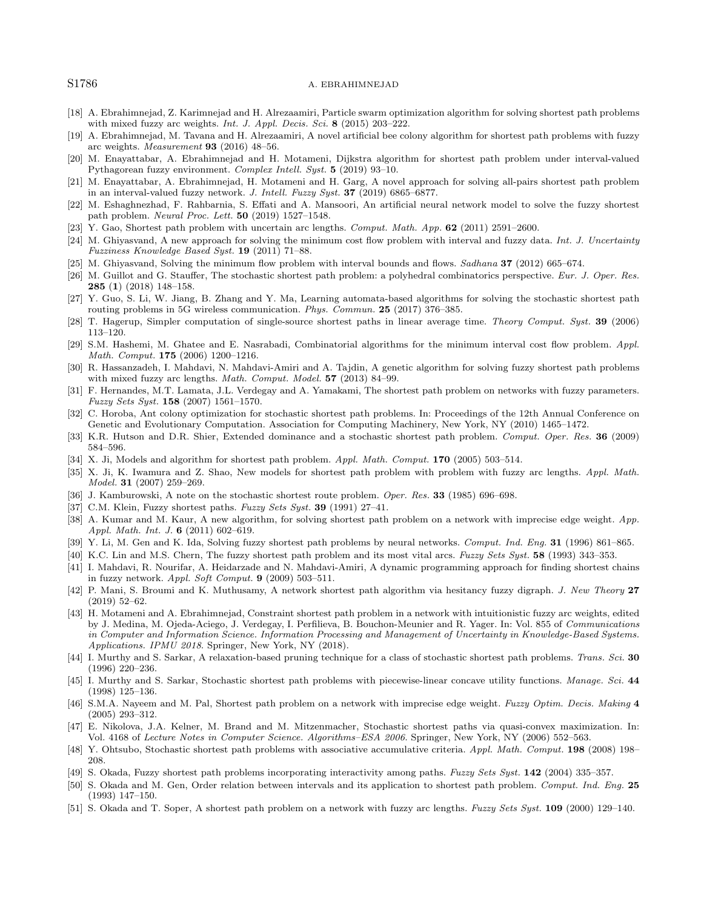#### <span id="page-19-32"></span><span id="page-19-31"></span><span id="page-19-28"></span><span id="page-19-27"></span><span id="page-19-26"></span><span id="page-19-22"></span><span id="page-19-2"></span>S1786 A. EBRAHIMNEJAD

- <span id="page-19-14"></span>[18] A. Ebrahimnejad, Z. Karimnejad and H. Alrezaamiri, Particle swarm optimization algorithm for solving shortest path problems with mixed fuzzy arc weights. Int. J. Appl. Decis. Sci. 8 (2015) 203-222.
- <span id="page-19-13"></span>[19] A. Ebrahimnejad, M. Tavana and H. Alrezaamiri, A novel artificial bee colony algorithm for shortest path problems with fuzzy arc weights. Measurement 93 (2016) 48–56.
- <span id="page-19-0"></span>[20] M. Enayattabar, A. Ebrahimnejad and H. Motameni, Dijkstra algorithm for shortest path problem under interval-valued Pythagorean fuzzy environment. Complex Intell. Syst. 5 (2019) 93–10.
- <span id="page-19-4"></span>[21] M. Enayattabar, A. Ebrahimnejad, H. Motameni and H. Garg, A novel approach for solving all-pairs shortest path problem in an interval-valued fuzzy network. J. Intell. Fuzzy Syst. 37 (2019) 6865–6877.
- <span id="page-19-25"></span>[22] M. Eshaghnezhad, F. Rahbarnia, S. Effati and A. Mansoori, An artificial neural network model to solve the fuzzy shortest path problem. Neural Proc. Lett. 50 (2019) 1527–1548.
- <span id="page-19-20"></span>[23] Y. Gao, Shortest path problem with uncertain arc lengths. Comput. Math. App. 62 (2011) 2591–2600.
- <span id="page-19-12"></span>[24] M. Ghiyasvand, A new approach for solving the minimum cost flow problem with interval and fuzzy data. Int. J. Uncertainty Fuzziness Knowledge Based Syst. 19 (2011) 71–88.
- <span id="page-19-11"></span>[25] M. Ghiyasvand, Solving the minimum flow problem with interval bounds and flows. Sadhana 37 (2012) 665–674.
- [26] M. Guillot and G. Stauffer, The stochastic shortest path problem: a polyhedral combinatorics perspective. Eur. J. Oper. Res. 285 (1) (2018) 148–158.
- <span id="page-19-21"></span><span id="page-19-8"></span>[27] Y. Guo, S. Li, W. Jiang, B. Zhang and Y. Ma, Learning automata-based algorithms for solving the stochastic shortest path routing problems in 5G wireless communication. Phys. Commun. 25 (2017) 376–385.
- <span id="page-19-5"></span>[28] T. Hagerup, Simpler computation of single-source shortest paths in linear average time. Theory Comput. Syst. 39 (2006) 113–120.
- <span id="page-19-23"></span><span id="page-19-15"></span>[29] S.M. Hashemi, M. Ghatee and E. Nasrabadi, Combinatorial algorithms for the minimum interval cost flow problem. Appl. Math. Comput. 175 (2006) 1200–1216.
- <span id="page-19-17"></span>[30] R. Hassanzadeh, I. Mahdavi, N. Mahdavi-Amiri and A. Tajdin, A genetic algorithm for solving fuzzy shortest path problems with mixed fuzzy arc lengths. Math. Comput. Model. 57 (2013) 84-99.
- <span id="page-19-24"></span><span id="page-19-16"></span>[31] F. Hernandes, M.T. Lamata, J.L. Verdegay and A. Yamakami, The shortest path problem on networks with fuzzy parameters. Fuzzy Sets Syst. 158 (2007) 1561–1570.
- <span id="page-19-30"></span>[32] C. Horoba, Ant colony optimization for stochastic shortest path problems. In: Proceedings of the 12th Annual Conference on Genetic and Evolutionary Computation. Association for Computing Machinery, New York, NY (2010) 1465–1472.
- <span id="page-19-29"></span>[33] K.R. Hutson and D.R. Shier, Extended dominance and a stochastic shortest path problem. Comput. Oper. Res. 36 (2009) 584–596.
- [34] X. Ji, Models and algorithm for shortest path problem. Appl. Math. Comput. 170 (2005) 503-514.
- [35] X. Ji, K. Iwamura and Z. Shao, New models for shortest path problem with problem with fuzzy arc lengths. Appl. Math. Model. 31 (2007) 259–269.
- <span id="page-19-6"></span>[36] J. Kamburowski, A note on the stochastic shortest route problem. Oper. Res. 33 (1985) 696–698.
- <span id="page-19-7"></span>[37] C.M. Klein, Fuzzy shortest paths. Fuzzy Sets Syst. 39 (1991) 27-41.
- [38] A. Kumar and M. Kaur, A new algorithm, for solving shortest path problem on a network with imprecise edge weight. App. Appl. Math. Int. J. 6 (2011) 602-619.
- <span id="page-19-1"></span>[39] Y. Li, M. Gen and K. Ida, Solving fuzzy shortest path problems by neural networks. Comput. Ind. Eng. 31 (1996) 861–865.
- <span id="page-19-9"></span>[40] K.C. Lin and M.S. Chern, The fuzzy shortest path problem and its most vital arcs. Fuzzy Sets Syst. 58 (1993) 343–353.
- [41] I. Mahdavi, R. Nourifar, A. Heidarzade and N. Mahdavi-Amiri, A dynamic programming approach for finding shortest chains in fuzzy network. Appl. Soft Comput. 9 (2009) 503–511.
- <span id="page-19-10"></span>[42] P. Mani, S. Broumi and K. Muthusamy, A network shortest path algorithm via hesitancy fuzzy digraph. J. New Theory 27 (2019) 52–62.
- <span id="page-19-33"></span><span id="page-19-19"></span>[43] H. Motameni and A. Ebrahimnejad, Constraint shortest path problem in a network with intuitionistic fuzzy arc weights, edited by J. Medina, M. Ojeda-Aciego, J. Verdegay, I. Perfilieva, B. Bouchon-Meunier and R. Yager. In: Vol. 855 of Communications in Computer and Information Science. Information Processing and Management of Uncertainty in Knowledge-Based Systems. Applications. IPMU 2018. Springer, New York, NY (2018).
- <span id="page-19-18"></span>[44] I. Murthy and S. Sarkar, A relaxation-based pruning technique for a class of stochastic shortest path problems. Trans. Sci. 30 (1996) 220–236.
- [45] I. Murthy and S. Sarkar, Stochastic shortest path problems with piecewise-linear concave utility functions. Manage. Sci. 44 (1998) 125–136.
- [46] S.M.A. Nayeem and M. Pal, Shortest path problem on a network with imprecise edge weight. Fuzzy Optim. Decis. Making 4 (2005) 293–312.
- [47] E. Nikolova, J.A. Kelner, M. Brand and M. Mitzenmacher, Stochastic shortest paths via quasi-convex maximization. In: Vol. 4168 of Lecture Notes in Computer Science. Algorithms–ESA 2006. Springer, New York, NY (2006) 552–563.
- [48] Y. Ohtsubo, Stochastic shortest path problems with associative accumulative criteria. Appl. Math. Comput. 198 (2008) 198-208.
- [49] S. Okada, Fuzzy shortest path problems incorporating interactivity among paths. Fuzzy Sets Syst. 142 (2004) 335–357.
- [50] S. Okada and M. Gen, Order relation between intervals and its application to shortest path problem. Comput. Ind. Eng. 25 (1993) 147–150.
- [51] S. Okada and T. Soper, A shortest path problem on a network with fuzzy arc lengths. Fuzzy Sets Syst. 109 (2000) 129–140.

<span id="page-19-3"></span>